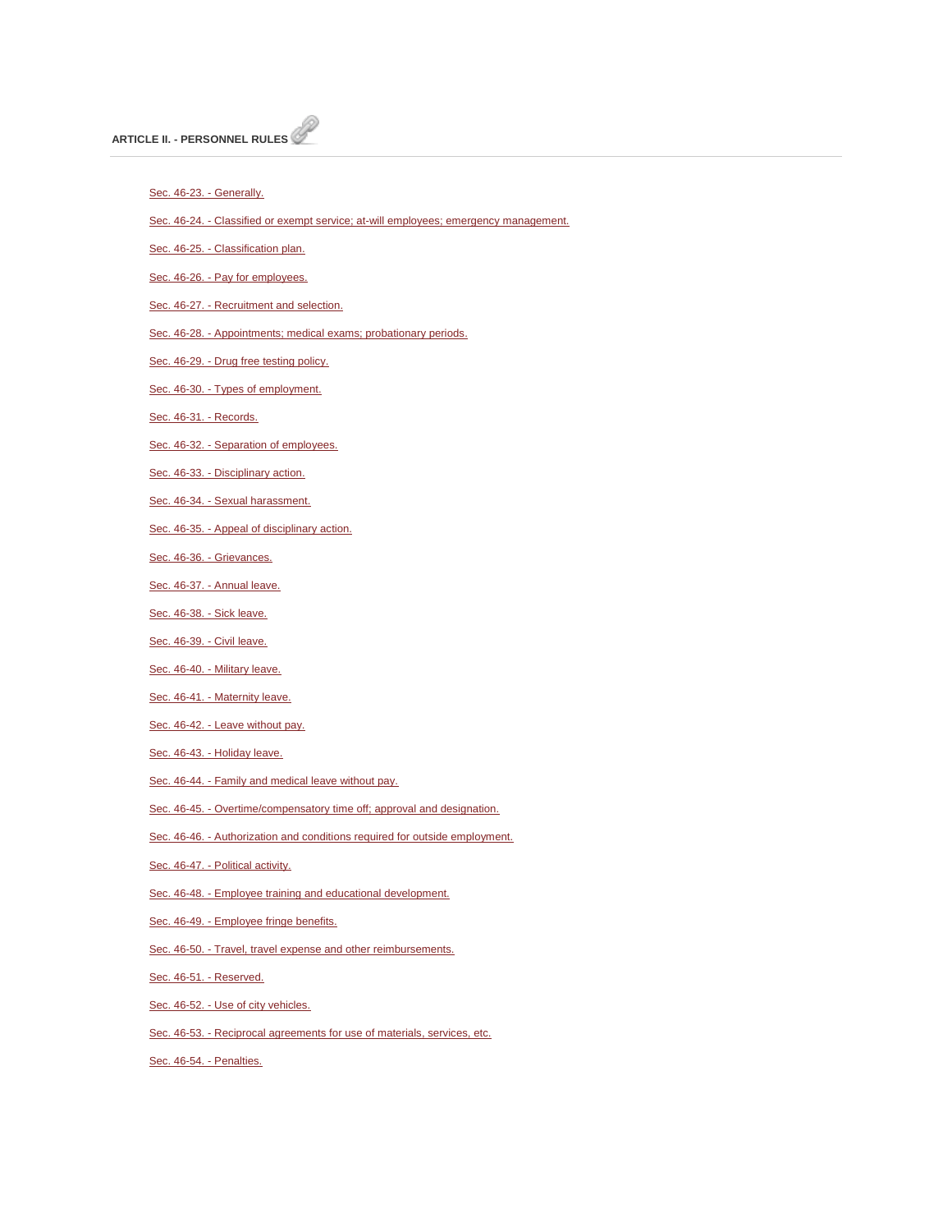[Sec. 46-23. -](http://library.municode.com/HTML/14104/level3/PTIICOOR_CH46PE_ARTIIPERU.html#PTIICOOR_CH46PE_ARTIIPERU_S46-23GE) Generally.

Sec. 46-24. - [Classified or exempt service; at-will employees; emergency management.](http://library.municode.com/HTML/14104/level3/PTIICOOR_CH46PE_ARTIIPERU.html#PTIICOOR_CH46PE_ARTIIPERU_S46-24CLEXSELLEMEMMA)

Sec. 46-25. - [Classification plan.](http://library.municode.com/HTML/14104/level3/PTIICOOR_CH46PE_ARTIIPERU.html#PTIICOOR_CH46PE_ARTIIPERU_S46-25CLPL)

Sec. 46-26. - [Pay for employees.](http://library.municode.com/HTML/14104/level3/PTIICOOR_CH46PE_ARTIIPERU.html#PTIICOOR_CH46PE_ARTIIPERU_S46-26PAEM)

Sec. 46-27. - [Recruitment and selection.](http://library.municode.com/HTML/14104/level3/PTIICOOR_CH46PE_ARTIIPERU.html#PTIICOOR_CH46PE_ARTIIPERU_S46-27RESE)

Sec. 46-28. - [Appointments; medical exams; probationary periods.](http://library.municode.com/HTML/14104/level3/PTIICOOR_CH46PE_ARTIIPERU.html#PTIICOOR_CH46PE_ARTIIPERU_S46-28APMEEXPRPE)

Sec. 46-29. - [Drug free testing policy.](http://library.municode.com/HTML/14104/level3/PTIICOOR_CH46PE_ARTIIPERU.html#PTIICOOR_CH46PE_ARTIIPERU_S46-29DRFRTEPO)

Sec. 46-30. - [Types of employment.](http://library.municode.com/HTML/14104/level3/PTIICOOR_CH46PE_ARTIIPERU.html#PTIICOOR_CH46PE_ARTIIPERU_S46-30TYEM)

[Sec. 46-31. -](http://library.municode.com/HTML/14104/level3/PTIICOOR_CH46PE_ARTIIPERU.html#PTIICOOR_CH46PE_ARTIIPERU_S46-31RE) Records.

Sec. 46-32. - [Separation of employees.](http://library.municode.com/HTML/14104/level3/PTIICOOR_CH46PE_ARTIIPERU.html#PTIICOOR_CH46PE_ARTIIPERU_S46-32SEEM)

Sec. 46-33. - [Disciplinary action.](http://library.municode.com/HTML/14104/level3/PTIICOOR_CH46PE_ARTIIPERU.html#PTIICOOR_CH46PE_ARTIIPERU_S46-33DIAC)

Sec. 46-34. - [Sexual harassment.](http://library.municode.com/HTML/14104/level3/PTIICOOR_CH46PE_ARTIIPERU.html#PTIICOOR_CH46PE_ARTIIPERU_S46-34SEHA)

Sec. 46-35. - [Appeal of disciplinary action.](http://library.municode.com/HTML/14104/level3/PTIICOOR_CH46PE_ARTIIPERU.html#PTIICOOR_CH46PE_ARTIIPERU_S46-35APDIAC)

[Sec. 46-36. -](http://library.municode.com/HTML/14104/level3/PTIICOOR_CH46PE_ARTIIPERU.html#PTIICOOR_CH46PE_ARTIIPERU_S46-36GR) Grievances.

Sec. 46-37. - [Annual leave.](http://library.municode.com/HTML/14104/level3/PTIICOOR_CH46PE_ARTIIPERU.html#PTIICOOR_CH46PE_ARTIIPERU_S46-37ANLE)

[Sec. 46-38. -](http://library.municode.com/HTML/14104/level3/PTIICOOR_CH46PE_ARTIIPERU.html#PTIICOOR_CH46PE_ARTIIPERU_S46-38SILE) Sick leave.

[Sec. 46-39. -](http://library.municode.com/HTML/14104/level3/PTIICOOR_CH46PE_ARTIIPERU.html#PTIICOOR_CH46PE_ARTIIPERU_S46-39CILE) Civil leave.

Sec. 46-40. - [Military leave.](http://library.municode.com/HTML/14104/level3/PTIICOOR_CH46PE_ARTIIPERU.html#PTIICOOR_CH46PE_ARTIIPERU_S46-40MILE)

Sec. 46-41. - [Maternity leave.](http://library.municode.com/HTML/14104/level3/PTIICOOR_CH46PE_ARTIIPERU.html#PTIICOOR_CH46PE_ARTIIPERU_S46-41MALE)

Sec. 46-42. - [Leave without pay.](http://library.municode.com/HTML/14104/level3/PTIICOOR_CH46PE_ARTIIPERU.html#PTIICOOR_CH46PE_ARTIIPERU_S46-42LEWIPA)

Sec. 46-43. - [Holiday leave.](http://library.municode.com/HTML/14104/level3/PTIICOOR_CH46PE_ARTIIPERU.html#PTIICOOR_CH46PE_ARTIIPERU_S46-43HOLE)

Sec. 46-44. - [Family and medical leave without pay.](http://library.municode.com/HTML/14104/level3/PTIICOOR_CH46PE_ARTIIPERU.html#PTIICOOR_CH46PE_ARTIIPERU_S46-44FAMELEWIPA)

Sec. 46-45. - [Overtime/compensatory time off; approval and designation.](http://library.municode.com/HTML/14104/level3/PTIICOOR_CH46PE_ARTIIPERU.html#PTIICOOR_CH46PE_ARTIIPERU_S46-45OVCOTIOFAPDE)

Sec. 46-46. - [Authorization and conditions required for outside employment.](http://library.municode.com/HTML/14104/level3/PTIICOOR_CH46PE_ARTIIPERU.html#PTIICOOR_CH46PE_ARTIIPERU_S46-46AUCOREOUEM)

Sec. 46-47. - [Political activity.](http://library.municode.com/HTML/14104/level3/PTIICOOR_CH46PE_ARTIIPERU.html#PTIICOOR_CH46PE_ARTIIPERU_S46-47POAC)

Sec. 46-48. - [Employee training and educational development.](http://library.municode.com/HTML/14104/level3/PTIICOOR_CH46PE_ARTIIPERU.html#PTIICOOR_CH46PE_ARTIIPERU_S46-48EMTREDDE)

Sec. 46-49. - [Employee fringe benefits.](http://library.municode.com/HTML/14104/level3/PTIICOOR_CH46PE_ARTIIPERU.html#PTIICOOR_CH46PE_ARTIIPERU_S46-49EMFRBE)

Sec. 46-50. - [Travel, travel expense and other reimbursements.](http://library.municode.com/HTML/14104/level3/PTIICOOR_CH46PE_ARTIIPERU.html#PTIICOOR_CH46PE_ARTIIPERU_S46-50TRTREXOTRE)

[Sec. 46-51. -](http://library.municode.com/HTML/14104/level3/PTIICOOR_CH46PE_ARTIIPERU.html#PTIICOOR_CH46PE_ARTIIPERU_S46-51RE) Reserved.

Sec. 46-52. - [Use of city vehicles.](http://library.municode.com/HTML/14104/level3/PTIICOOR_CH46PE_ARTIIPERU.html#PTIICOOR_CH46PE_ARTIIPERU_S46-52USVE)

Sec. 46-53. - [Reciprocal agreements for use of materials, services, etc.](http://library.municode.com/HTML/14104/level3/PTIICOOR_CH46PE_ARTIIPERU.html#PTIICOOR_CH46PE_ARTIIPERU_S46-53REAGUSMASEET)

[Sec. 46-54. -](http://library.municode.com/HTML/14104/level3/PTIICOOR_CH46PE_ARTIIPERU.html#PTIICOOR_CH46PE_ARTIIPERU_S46-54PE) Penalties.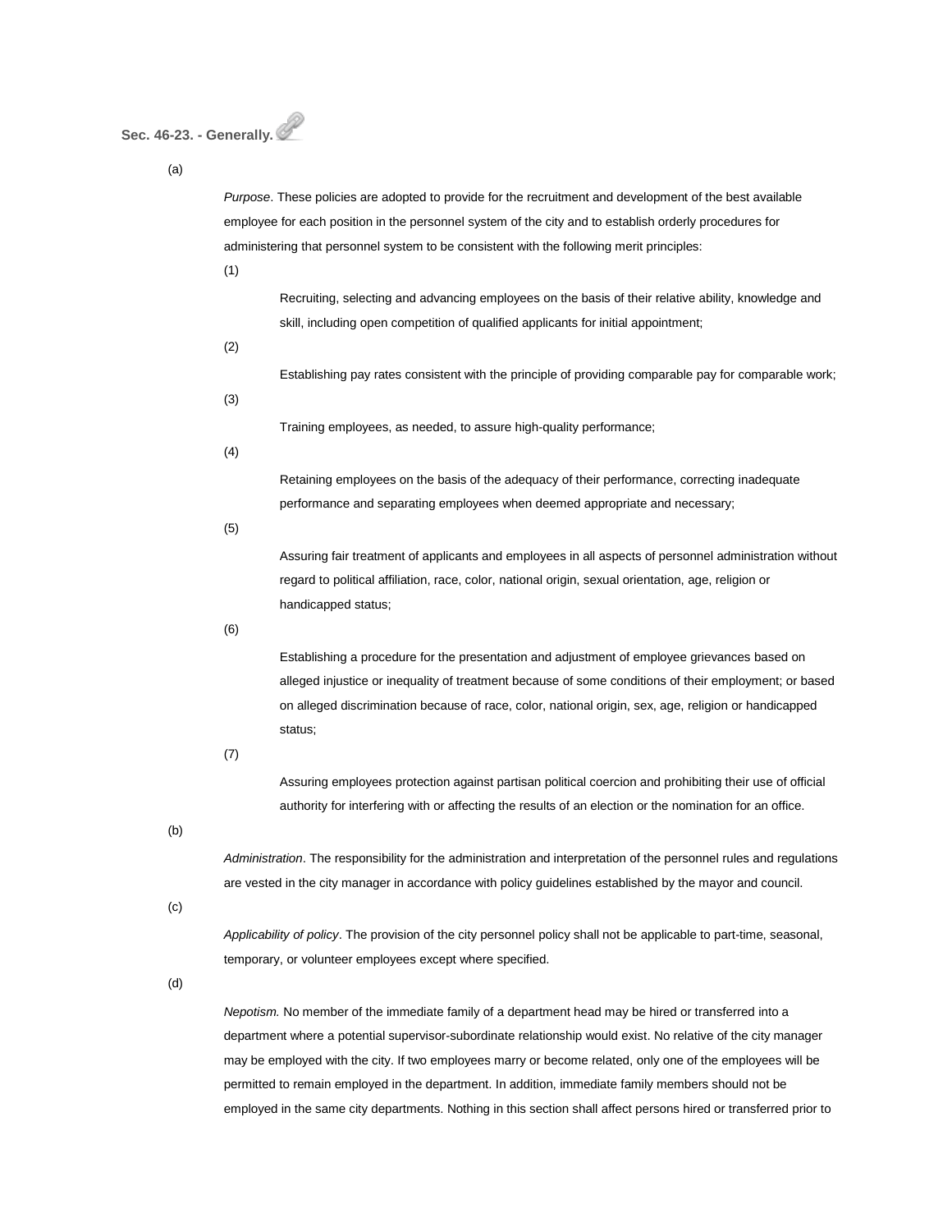# **Sec. 46-23. - Generally.**

(a)

*Purpose*. These policies are adopted to provide for the recruitment and development of the best available employee for each position in the personnel system of the city and to establish orderly procedures for administering that personnel system to be consistent with the following merit principles:

(1)

Recruiting, selecting and advancing employees on the basis of their relative ability, knowledge and skill, including open competition of qualified applicants for initial appointment;

(2)

Establishing pay rates consistent with the principle of providing comparable pay for comparable work;

(3)

Training employees, as needed, to assure high-quality performance;

(4)

Retaining employees on the basis of the adequacy of their performance, correcting inadequate performance and separating employees when deemed appropriate and necessary;

(5)

Assuring fair treatment of applicants and employees in all aspects of personnel administration without regard to political affiliation, race, color, national origin, sexual orientation, age, religion or handicapped status;

(6)

Establishing a procedure for the presentation and adjustment of employee grievances based on alleged injustice or inequality of treatment because of some conditions of their employment; or based on alleged discrimination because of race, color, national origin, sex, age, religion or handicapped status;

(7)

Assuring employees protection against partisan political coercion and prohibiting their use of official authority for interfering with or affecting the results of an election or the nomination for an office.

(b)

*Administration*. The responsibility for the administration and interpretation of the personnel rules and regulations are vested in the city manager in accordance with policy guidelines established by the mayor and council.

(c)

*Applicability of policy*. The provision of the city personnel policy shall not be applicable to part-time, seasonal, temporary, or volunteer employees except where specified.

(d)

*Nepotism.* No member of the immediate family of a department head may be hired or transferred into a department where a potential supervisor-subordinate relationship would exist. No relative of the city manager may be employed with the city. If two employees marry or become related, only one of the employees will be permitted to remain employed in the department. In addition, immediate family members should not be employed in the same city departments. Nothing in this section shall affect persons hired or transferred prior to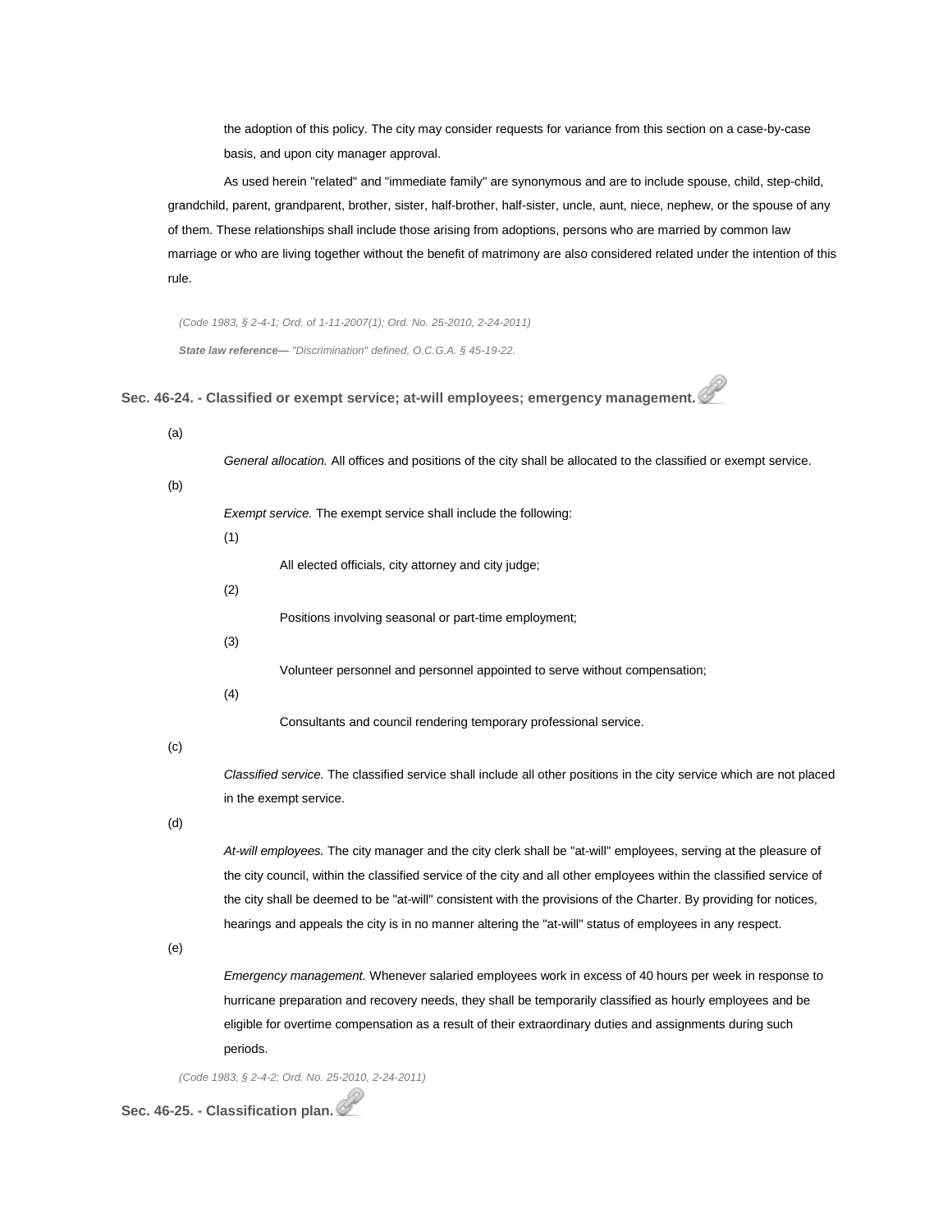the adoption of this policy. The city may consider requests for variance from this section on a case-by-case basis, and upon city manager approval.

As used herein "related" and "immediate family" are synonymous and are to include spouse, child, step-child, grandchild, parent, grandparent, brother, sister, half-brother, half-sister, uncle, aunt, niece, nephew, or the spouse of any of them. These relationships shall include those arising from adoptions, persons who are married by common law marriage or who are living together without the benefit of matrimony are also considered related under the intention of this rule.

*(Code 1983, § 2-4-1; Ord. of 1-11-2007(1); Ord. No. 25-2010, 2-24-2011) State law reference— "Discrimination" defined, O.C.G.A. § 45-19-22.*

**Sec. 46-24. - Classified or exempt service; at-will employees; emergency management.**

| (a) |                                                                                                                       |
|-----|-----------------------------------------------------------------------------------------------------------------------|
|     | General allocation. All offices and positions of the city shall be allocated to the classified or exempt service.     |
| (b) |                                                                                                                       |
|     | Exempt service. The exempt service shall include the following:                                                       |
|     | (1)                                                                                                                   |
|     | All elected officials, city attorney and city judge;                                                                  |
|     | (2)                                                                                                                   |
|     | Positions involving seasonal or part-time employment;                                                                 |
|     |                                                                                                                       |
|     | (3)                                                                                                                   |
|     | Volunteer personnel and personnel appointed to serve without compensation;                                            |
|     | (4)                                                                                                                   |
|     | Consultants and council rendering temporary professional service.                                                     |
| (c) |                                                                                                                       |
|     | Classified service. The classified service shall include all other positions in the city service which are not placed |
|     | in the exempt service.                                                                                                |
| (d) |                                                                                                                       |
|     | At-will employees. The city manager and the city clerk shall be "at-will" employees, serving at the pleasure of       |
|     | the city council, within the classified service of the city and all other employees within the classified service of  |
|     | the city shall be deemed to be "at-will" consistent with the provisions of the Charter. By providing for notices,     |
|     | hearings and appeals the city is in no manner altering the "at-will" status of employees in any respect.              |
| (e) |                                                                                                                       |
|     | <i>Emergency management.</i> Whenever salaried employees work in excess of 40 hours per week in response to           |
|     | hurricane preparation and recovery needs, they shall be temporarily classified as hourly employees and be             |
|     | eligible for overtime compensation as a result of their extraordinary duties and assignments during such              |
|     | periods.                                                                                                              |
|     |                                                                                                                       |

*(Code 1983, § 2-4-2; Ord. No. 25-2010, 2-24-2011)*

**Sec. 46-25. - Classification plan.**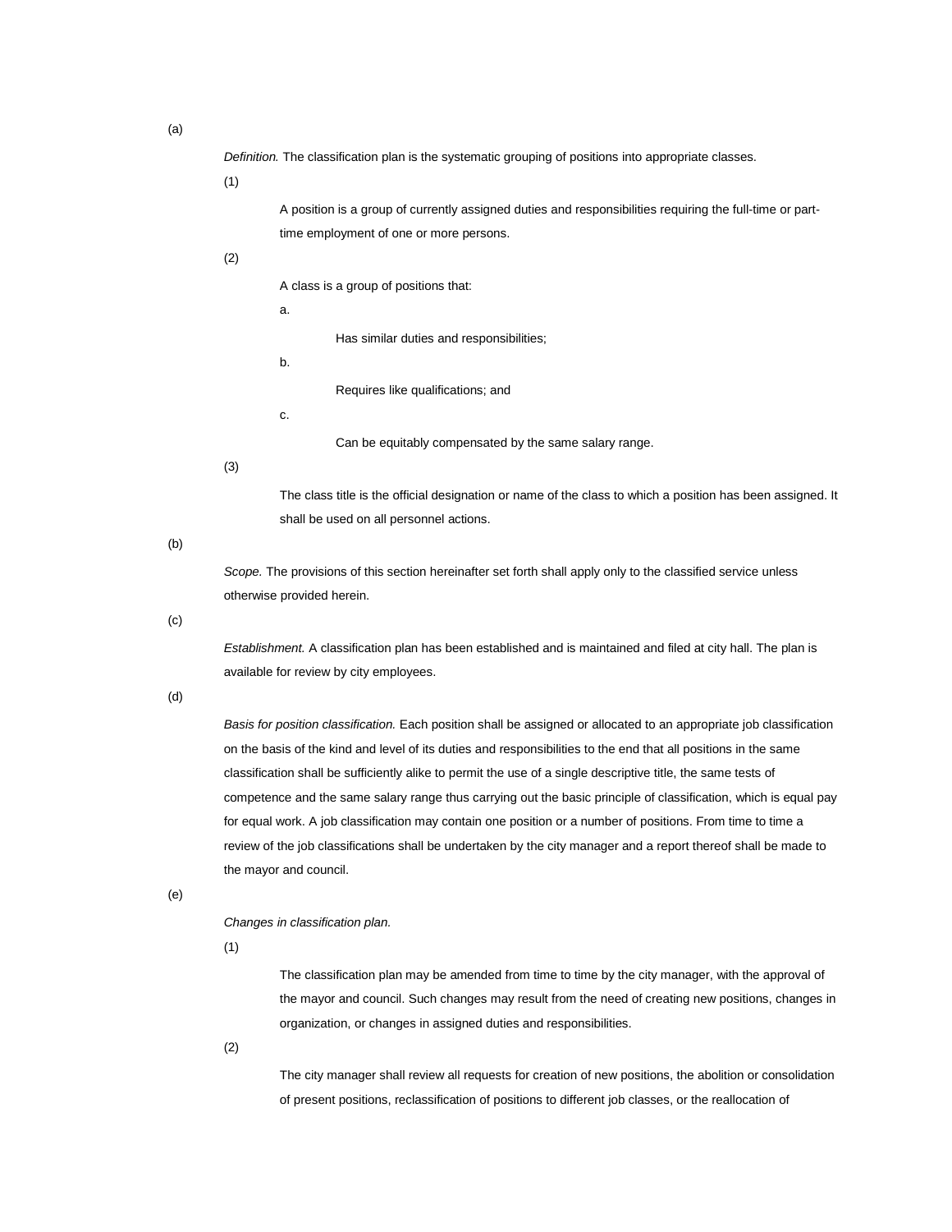*Definition.* The classification plan is the systematic grouping of positions into appropriate classes.

(1)

A position is a group of currently assigned duties and responsibilities requiring the full-time or parttime employment of one or more persons.

(2)

A class is a group of positions that:

a.

b.

Requires like qualifications; and

Has similar duties and responsibilities;

c.

Can be equitably compensated by the same salary range.

(3)

The class title is the official designation or name of the class to which a position has been assigned. It shall be used on all personnel actions.

(b)

*Scope.* The provisions of this section hereinafter set forth shall apply only to the classified service unless otherwise provided herein.

(c)

*Establishment.* A classification plan has been established and is maintained and filed at city hall. The plan is available for review by city employees.

(d)

*Basis for position classification.* Each position shall be assigned or allocated to an appropriate job classification on the basis of the kind and level of its duties and responsibilities to the end that all positions in the same classification shall be sufficiently alike to permit the use of a single descriptive title, the same tests of competence and the same salary range thus carrying out the basic principle of classification, which is equal pay for equal work. A job classification may contain one position or a number of positions. From time to time a review of the job classifications shall be undertaken by the city manager and a report thereof shall be made to the mayor and council.

(e)

*Changes in classification plan.*

(1)

The classification plan may be amended from time to time by the city manager, with the approval of the mayor and council. Such changes may result from the need of creating new positions, changes in organization, or changes in assigned duties and responsibilities.

(2)

The city manager shall review all requests for creation of new positions, the abolition or consolidation of present positions, reclassification of positions to different job classes, or the reallocation of

(a)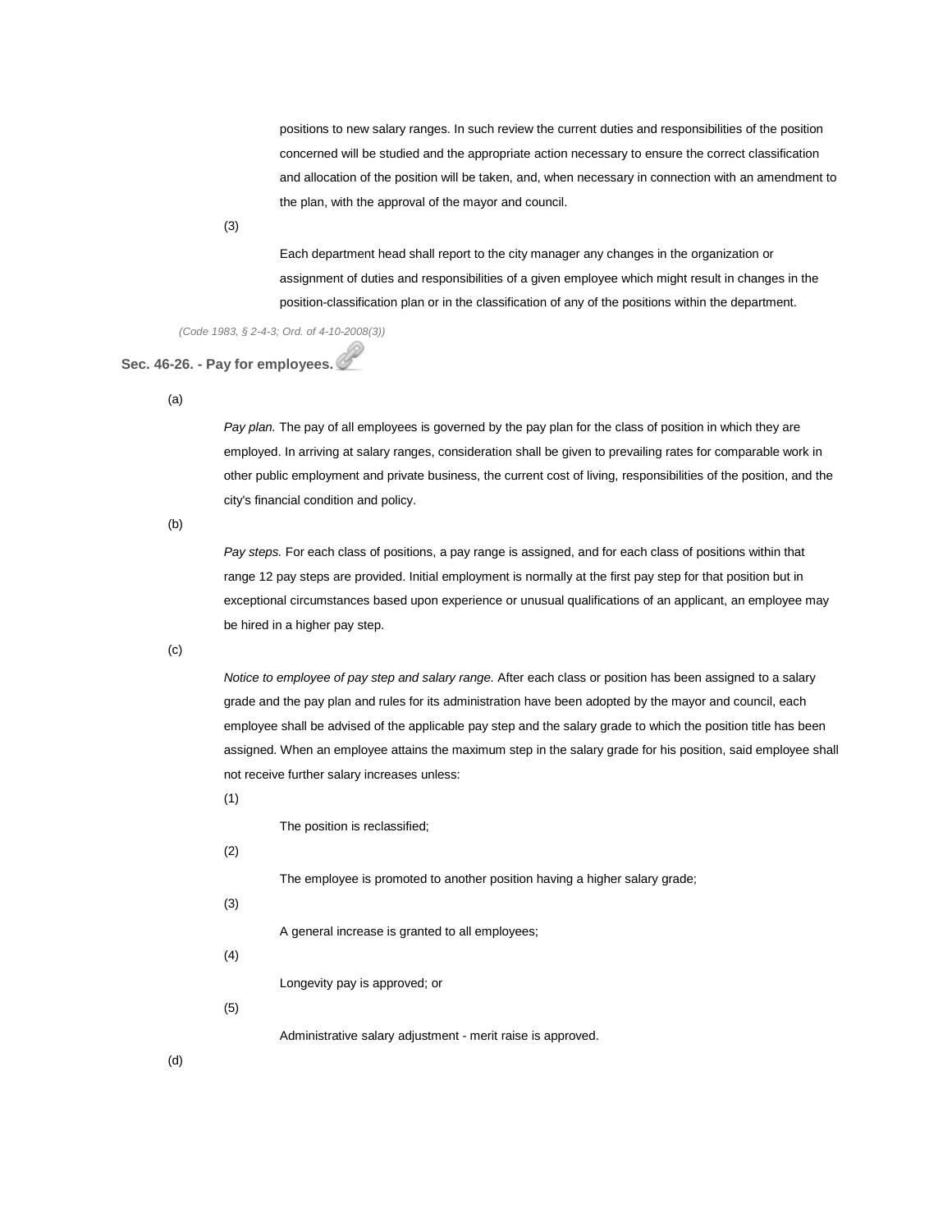positions to new salary ranges. In such review the current duties and responsibilities of the position concerned will be studied and the appropriate action necessary to ensure the correct classification and allocation of the position will be taken, and, when necessary in connection with an amendment to the plan, with the approval of the mayor and council.

(3)

Each department head shall report to the city manager any changes in the organization or assignment of duties and responsibilities of a given employee which might result in changes in the position-classification plan or in the classification of any of the positions within the department.

*(Code 1983, § 2-4-3; Ord. of 4-10-2008(3))*

## **Sec. 46-26. - Pay for employees.**

(a)

*Pay plan.* The pay of all employees is governed by the pay plan for the class of position in which they are employed. In arriving at salary ranges, consideration shall be given to prevailing rates for comparable work in other public employment and private business, the current cost of living, responsibilities of the position, and the city's financial condition and policy.

(b)

*Pay steps.* For each class of positions, a pay range is assigned, and for each class of positions within that range 12 pay steps are provided. Initial employment is normally at the first pay step for that position but in exceptional circumstances based upon experience or unusual qualifications of an applicant, an employee may be hired in a higher pay step.

(c)

*Notice to employee of pay step and salary range.* After each class or position has been assigned to a salary grade and the pay plan and rules for its administration have been adopted by the mayor and council, each employee shall be advised of the applicable pay step and the salary grade to which the position title has been assigned. When an employee attains the maximum step in the salary grade for his position, said employee shall not receive further salary increases unless:

(1)

The position is reclassified;

(2)

The employee is promoted to another position having a higher salary grade;

(3)

A general increase is granted to all employees;

(4)

Longevity pay is approved; or

(5)

Administrative salary adjustment - merit raise is approved.

(d)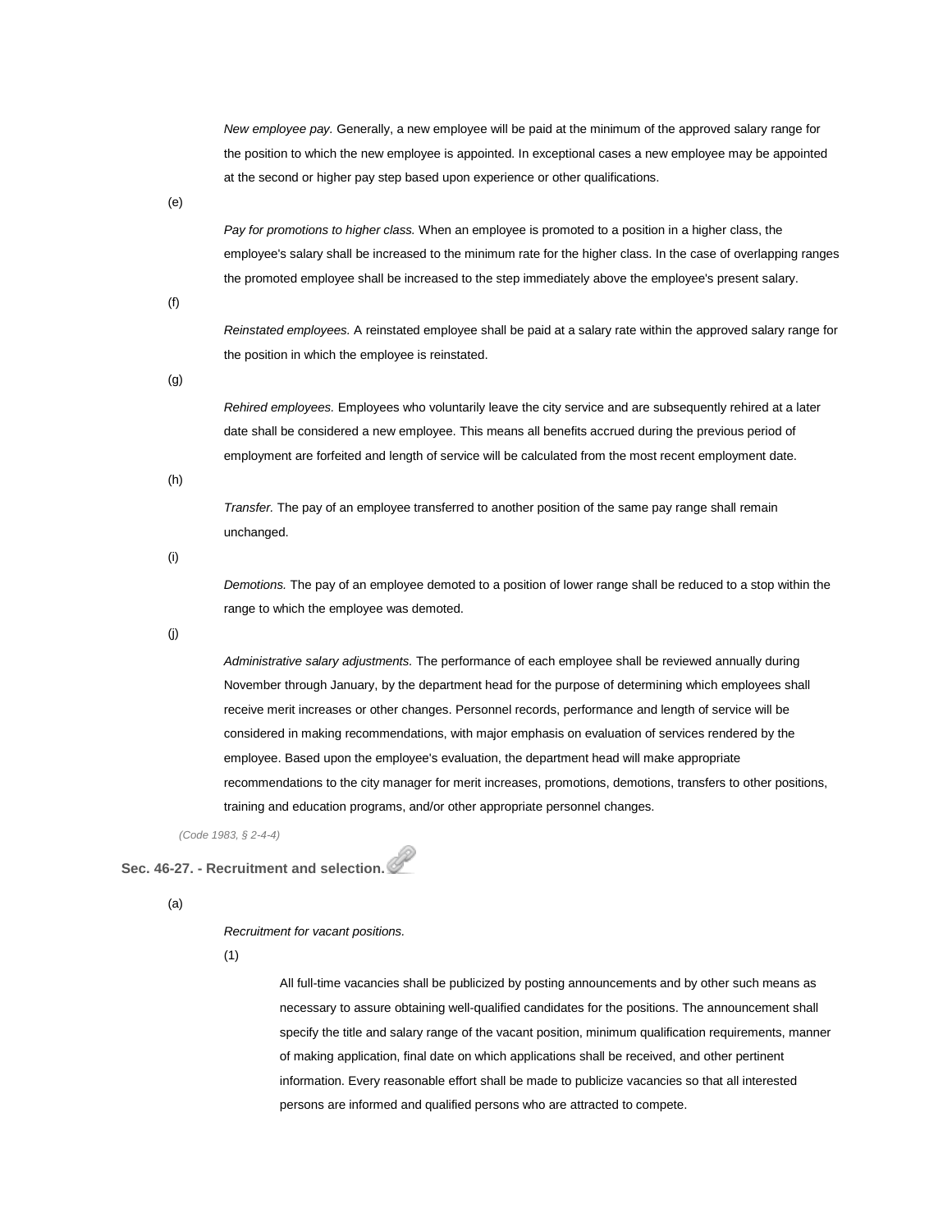*New employee pay.* Generally, a new employee will be paid at the minimum of the approved salary range for the position to which the new employee is appointed. In exceptional cases a new employee may be appointed at the second or higher pay step based upon experience or other qualifications.

(e)

*Pay for promotions to higher class.* When an employee is promoted to a position in a higher class, the employee's salary shall be increased to the minimum rate for the higher class. In the case of overlapping ranges the promoted employee shall be increased to the step immediately above the employee's present salary.

(f)

*Reinstated employees.* A reinstated employee shall be paid at a salary rate within the approved salary range for the position in which the employee is reinstated.

(g)

*Rehired employees.* Employees who voluntarily leave the city service and are subsequently rehired at a later date shall be considered a new employee. This means all benefits accrued during the previous period of employment are forfeited and length of service will be calculated from the most recent employment date.

(h)

*Transfer.* The pay of an employee transferred to another position of the same pay range shall remain unchanged.

(i)

*Demotions.* The pay of an employee demoted to a position of lower range shall be reduced to a stop within the range to which the employee was demoted.

(j)

*Administrative salary adjustments.* The performance of each employee shall be reviewed annually during November through January, by the department head for the purpose of determining which employees shall receive merit increases or other changes. Personnel records, performance and length of service will be considered in making recommendations, with major emphasis on evaluation of services rendered by the employee. Based upon the employee's evaluation, the department head will make appropriate recommendations to the city manager for merit increases, promotions, demotions, transfers to other positions, training and education programs, and/or other appropriate personnel changes.

*(Code 1983, § 2-4-4)*

**Sec. 46-27. - Recruitment and selection.**

(a)

#### *Recruitment for vacant positions.*

(1)

All full-time vacancies shall be publicized by posting announcements and by other such means as necessary to assure obtaining well-qualified candidates for the positions. The announcement shall specify the title and salary range of the vacant position, minimum qualification requirements, manner of making application, final date on which applications shall be received, and other pertinent information. Every reasonable effort shall be made to publicize vacancies so that all interested persons are informed and qualified persons who are attracted to compete.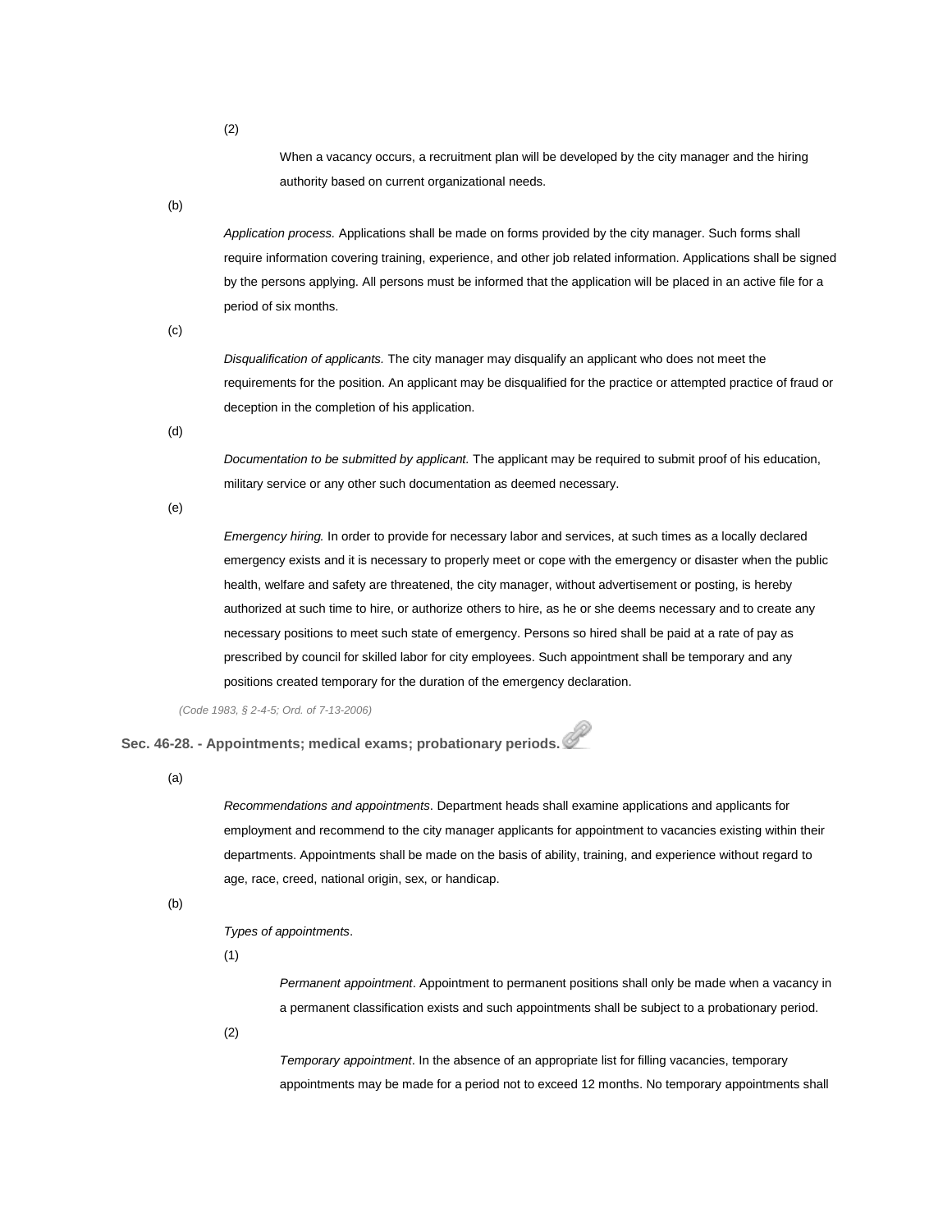When a vacancy occurs, a recruitment plan will be developed by the city manager and the hiring authority based on current organizational needs.

(b)

*Application process.* Applications shall be made on forms provided by the city manager. Such forms shall require information covering training, experience, and other job related information. Applications shall be signed by the persons applying. All persons must be informed that the application will be placed in an active file for a period of six months.

(c)

*Disqualification of applicants.* The city manager may disqualify an applicant who does not meet the requirements for the position. An applicant may be disqualified for the practice or attempted practice of fraud or deception in the completion of his application.

(d)

*Documentation to be submitted by applicant.* The applicant may be required to submit proof of his education, military service or any other such documentation as deemed necessary.

(e)

*Emergency hiring.* In order to provide for necessary labor and services, at such times as a locally declared emergency exists and it is necessary to properly meet or cope with the emergency or disaster when the public health, welfare and safety are threatened, the city manager, without advertisement or posting, is hereby authorized at such time to hire, or authorize others to hire, as he or she deems necessary and to create any necessary positions to meet such state of emergency. Persons so hired shall be paid at a rate of pay as prescribed by council for skilled labor for city employees. Such appointment shall be temporary and any positions created temporary for the duration of the emergency declaration.

*(Code 1983, § 2-4-5; Ord. of 7-13-2006)*

**Sec. 46-28. - Appointments; medical exams; probationary periods.**

(a)

*Recommendations and appointments*. Department heads shall examine applications and applicants for employment and recommend to the city manager applicants for appointment to vacancies existing within their departments. Appointments shall be made on the basis of ability, training, and experience without regard to age, race, creed, national origin, sex, or handicap.

(b)

*Types of appointments*.

(1)

*Permanent appointment*. Appointment to permanent positions shall only be made when a vacancy in a permanent classification exists and such appointments shall be subject to a probationary period.

(2)

*Temporary appointment*. In the absence of an appropriate list for filling vacancies, temporary appointments may be made for a period not to exceed 12 months. No temporary appointments shall

(2)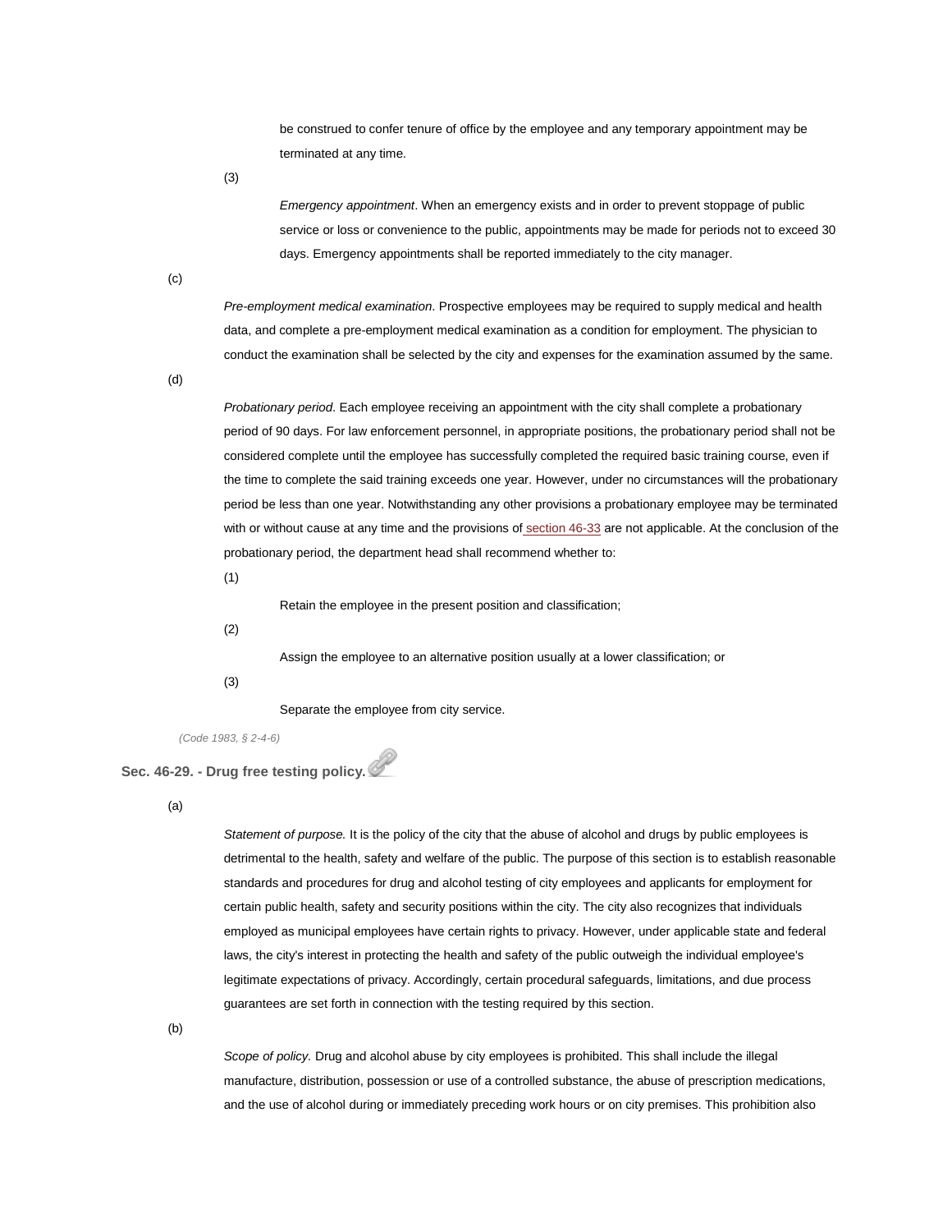be construed to confer tenure of office by the employee and any temporary appointment may be terminated at any time.

(3)

*Emergency appointment*. When an emergency exists and in order to prevent stoppage of public service or loss or convenience to the public, appointments may be made for periods not to exceed 30 days. Emergency appointments shall be reported immediately to the city manager.

(c)

*Pre-employment medical examination*. Prospective employees may be required to supply medical and health data, and complete a pre-employment medical examination as a condition for employment. The physician to conduct the examination shall be selected by the city and expenses for the examination assumed by the same.

(d)

*Probationary period*. Each employee receiving an appointment with the city shall complete a probationary period of 90 days. For law enforcement personnel, in appropriate positions, the probationary period shall not be considered complete until the employee has successfully completed the required basic training course, even if the time to complete the said training exceeds one year. However, under no circumstances will the probationary period be less than one year. Notwithstanding any other provisions a probationary employee may be terminated with or without cause at any time and the provisions of [section 46-33](http://library.municode.com/HTML/14104/level3/PTIICOOR_CH46PE_ARTIIPERU.html#PTIICOOR_CH46PE_ARTIIPERU_S46-33DIAC) are not applicable. At the conclusion of the probationary period, the department head shall recommend whether to:

(1)

Retain the employee in the present position and classification;

(2)

Assign the employee to an alternative position usually at a lower classification; or

(3)

Separate the employee from city service.

*(Code 1983, § 2-4-6)*

# **Sec. 46-29. - Drug free testing policy.**

(a)

*Statement of purpose.* It is the policy of the city that the abuse of alcohol and drugs by public employees is detrimental to the health, safety and welfare of the public. The purpose of this section is to establish reasonable standards and procedures for drug and alcohol testing of city employees and applicants for employment for certain public health, safety and security positions within the city. The city also recognizes that individuals employed as municipal employees have certain rights to privacy. However, under applicable state and federal laws, the city's interest in protecting the health and safety of the public outweigh the individual employee's legitimate expectations of privacy. Accordingly, certain procedural safeguards, limitations, and due process guarantees are set forth in connection with the testing required by this section.

(b)

*Scope of policy.* Drug and alcohol abuse by city employees is prohibited. This shall include the illegal manufacture, distribution, possession or use of a controlled substance, the abuse of prescription medications, and the use of alcohol during or immediately preceding work hours or on city premises. This prohibition also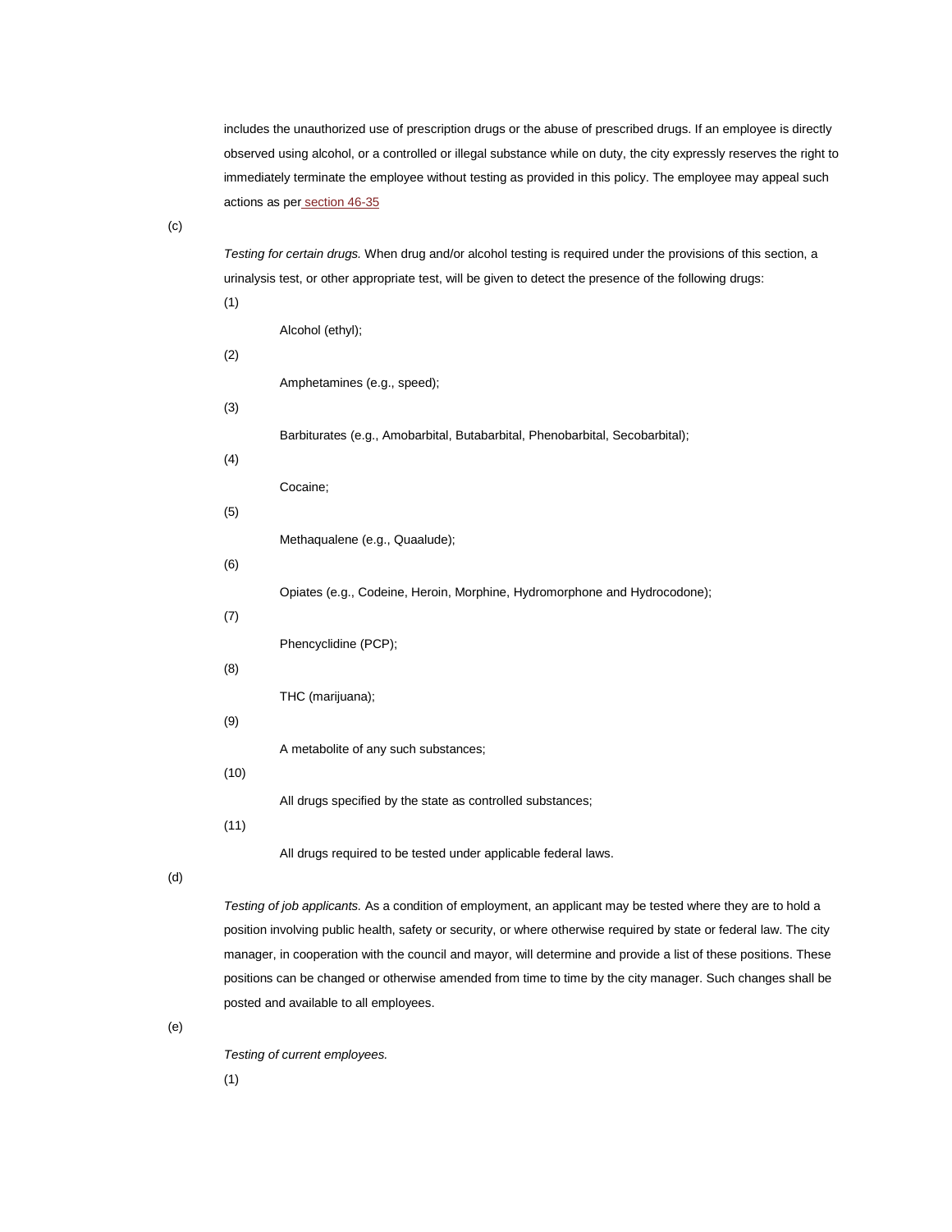includes the unauthorized use of prescription drugs or the abuse of prescribed drugs. If an employee is directly observed using alcohol, or a controlled or illegal substance while on duty, the city expressly reserves the right to immediately terminate the employee without testing as provided in this policy. The employee may appeal such actions as per [section 46-35](http://library.municode.com/HTML/14104/level3/PTIICOOR_CH46PE_ARTIIPERU.html#PTIICOOR_CH46PE_ARTIIPERU_S46-35APDIAC)

(c)

(1)

*Testing for certain drugs.* When drug and/or alcohol testing is required under the provisions of this section, a urinalysis test, or other appropriate test, will be given to detect the presence of the following drugs:

|      | Alcohol (ethyl);                                                                                             |
|------|--------------------------------------------------------------------------------------------------------------|
| (2)  |                                                                                                              |
|      | Amphetamines (e.g., speed);                                                                                  |
| (3)  | Barbiturates (e.g., Amobarbital, Butabarbital, Phenobarbital, Secobarbital);                                 |
| (4)  |                                                                                                              |
|      | Cocaine;                                                                                                     |
| (5)  | Methaqualene (e.g., Quaalude);                                                                               |
| (6)  |                                                                                                              |
|      | Opiates (e.g., Codeine, Heroin, Morphine, Hydromorphone and Hydrocodone);                                    |
| (7)  | Phencyclidine (PCP);                                                                                         |
| (8)  |                                                                                                              |
|      | THC (marijuana);                                                                                             |
| (9)  | A metabolite of any such substances;                                                                         |
| (10) |                                                                                                              |
|      | All drugs specified by the state as controlled substances;                                                   |
| (11) | All drugs required to be tested under applicable federal laws.                                               |
|      | Testing of job applicants. As a condition of employment, an applicant may be tested where they are to hold a |

position involving public health, safety or security, or where otherwise required by state or federal law. The city manager, in cooperation with the council and mayor, will determine and provide a list of these positions. These positions can be changed or otherwise amended from time to time by the city manager. Such changes shall be posted and available to all employees.

(e)

(d)

*Testing of current employees.*

(1)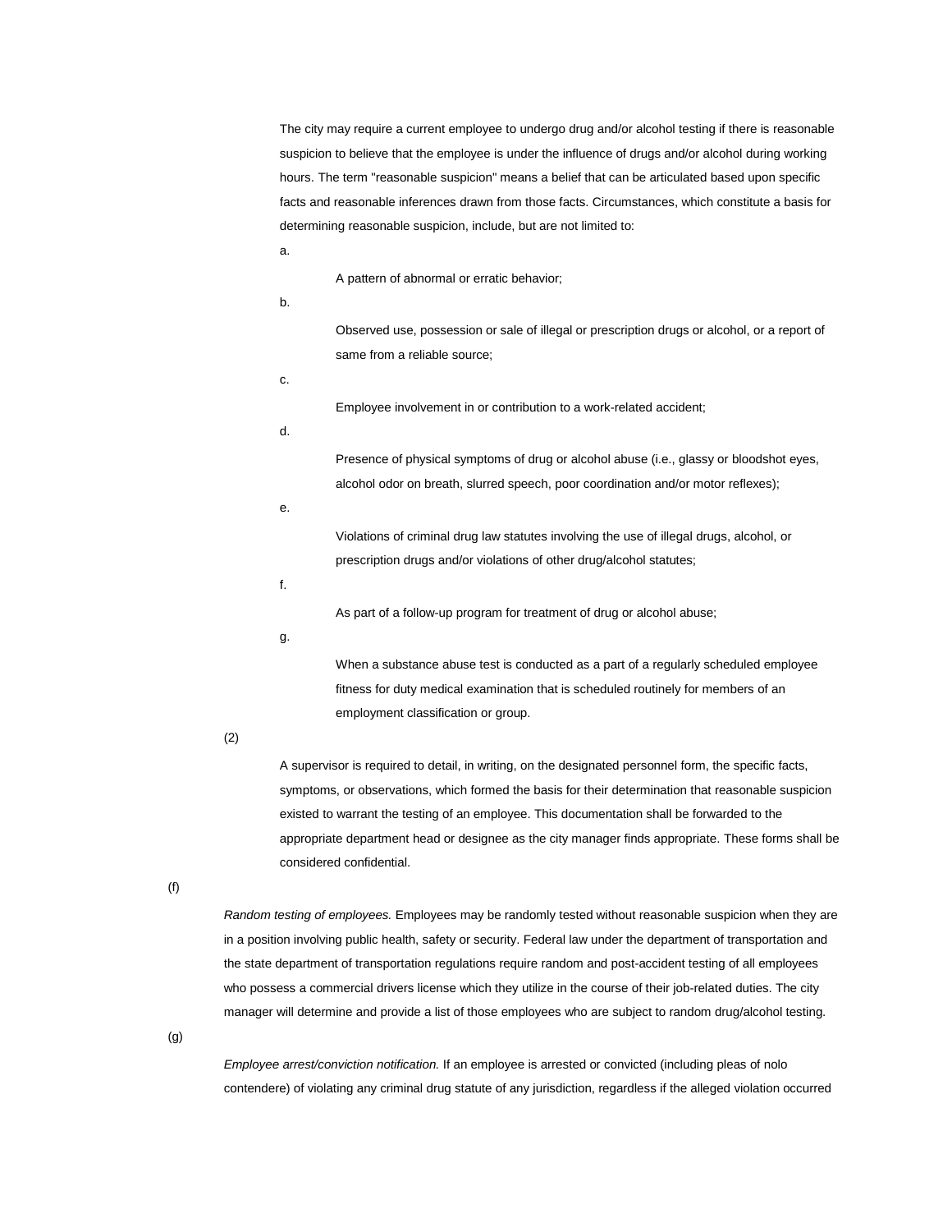The city may require a current employee to undergo drug and/or alcohol testing if there is reasonable suspicion to believe that the employee is under the influence of drugs and/or alcohol during working hours. The term "reasonable suspicion" means a belief that can be articulated based upon specific facts and reasonable inferences drawn from those facts. Circumstances, which constitute a basis for determining reasonable suspicion, include, but are not limited to:

a.

A pattern of abnormal or erratic behavior;

b.

Observed use, possession or sale of illegal or prescription drugs or alcohol, or a report of same from a reliable source;

c.

Employee involvement in or contribution to a work-related accident;

d.

Presence of physical symptoms of drug or alcohol abuse (i.e., glassy or bloodshot eyes, alcohol odor on breath, slurred speech, poor coordination and/or motor reflexes);

e.

Violations of criminal drug law statutes involving the use of illegal drugs, alcohol, or prescription drugs and/or violations of other drug/alcohol statutes;

f.

As part of a follow-up program for treatment of drug or alcohol abuse;

g.

When a substance abuse test is conducted as a part of a regularly scheduled employee fitness for duty medical examination that is scheduled routinely for members of an employment classification or group.

(2)

A supervisor is required to detail, in writing, on the designated personnel form, the specific facts, symptoms, or observations, which formed the basis for their determination that reasonable suspicion existed to warrant the testing of an employee. This documentation shall be forwarded to the appropriate department head or designee as the city manager finds appropriate. These forms shall be considered confidential.

(f)

*Random testing of employees.* Employees may be randomly tested without reasonable suspicion when they are in a position involving public health, safety or security. Federal law under the department of transportation and the state department of transportation regulations require random and post-accident testing of all employees who possess a commercial drivers license which they utilize in the course of their job-related duties. The city manager will determine and provide a list of those employees who are subject to random drug/alcohol testing.

(g)

*Employee arrest/conviction notification.* If an employee is arrested or convicted (including pleas of nolo contendere) of violating any criminal drug statute of any jurisdiction, regardless if the alleged violation occurred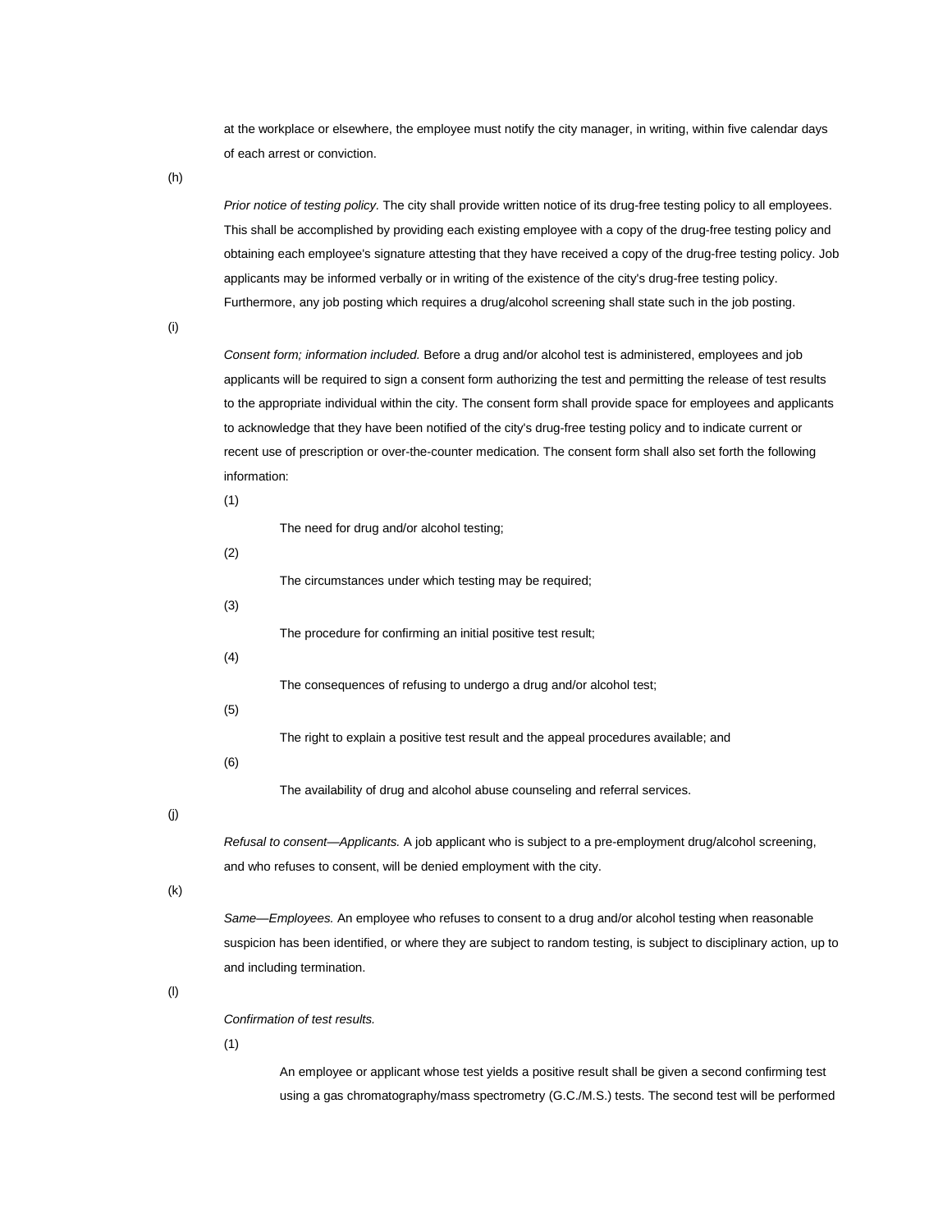at the workplace or elsewhere, the employee must notify the city manager, in writing, within five calendar days of each arrest or conviction.

(h)

*Prior notice of testing policy.* The city shall provide written notice of its drug-free testing policy to all employees. This shall be accomplished by providing each existing employee with a copy of the drug-free testing policy and obtaining each employee's signature attesting that they have received a copy of the drug-free testing policy. Job applicants may be informed verbally or in writing of the existence of the city's drug-free testing policy. Furthermore, any job posting which requires a drug/alcohol screening shall state such in the job posting.

(i)

*Consent form; information included.* Before a drug and/or alcohol test is administered, employees and job applicants will be required to sign a consent form authorizing the test and permitting the release of test results to the appropriate individual within the city. The consent form shall provide space for employees and applicants to acknowledge that they have been notified of the city's drug-free testing policy and to indicate current or recent use of prescription or over-the-counter medication. The consent form shall also set forth the following information:

(1)

|     | The need for drug and/or alcohol testing;                                                                            |
|-----|----------------------------------------------------------------------------------------------------------------------|
| (2) |                                                                                                                      |
|     | The circumstances under which testing may be required;                                                               |
| (3) |                                                                                                                      |
|     | The procedure for confirming an initial positive test result;                                                        |
| (4) |                                                                                                                      |
|     | The consequences of refusing to undergo a drug and/or alcohol test;                                                  |
| (5) |                                                                                                                      |
|     | The right to explain a positive test result and the appeal procedures available; and                                 |
| (6) |                                                                                                                      |
|     | The availability of drug and alcohol abuse counseling and referral services.                                         |
|     |                                                                                                                      |
|     | Refusal to consent—Applicants. A job applicant who is subject to a pre-employment drug/alcohol screening,            |
|     | and who refuses to consent, will be denied employment with the city.                                                 |
|     |                                                                                                                      |
|     | Same—Employees. An employee who refuses to consent to a drug and/or alcohol testing when reasonable                  |
|     | suspicion has been identified, or where they are subject to random testing, is subject to disciplinary action, up to |

(l)

(j)

(k)

*Confirmation of test results.*

and including termination.

(1)

An employee or applicant whose test yields a positive result shall be given a second confirming test using a gas chromatography/mass spectrometry (G.C./M.S.) tests. The second test will be performed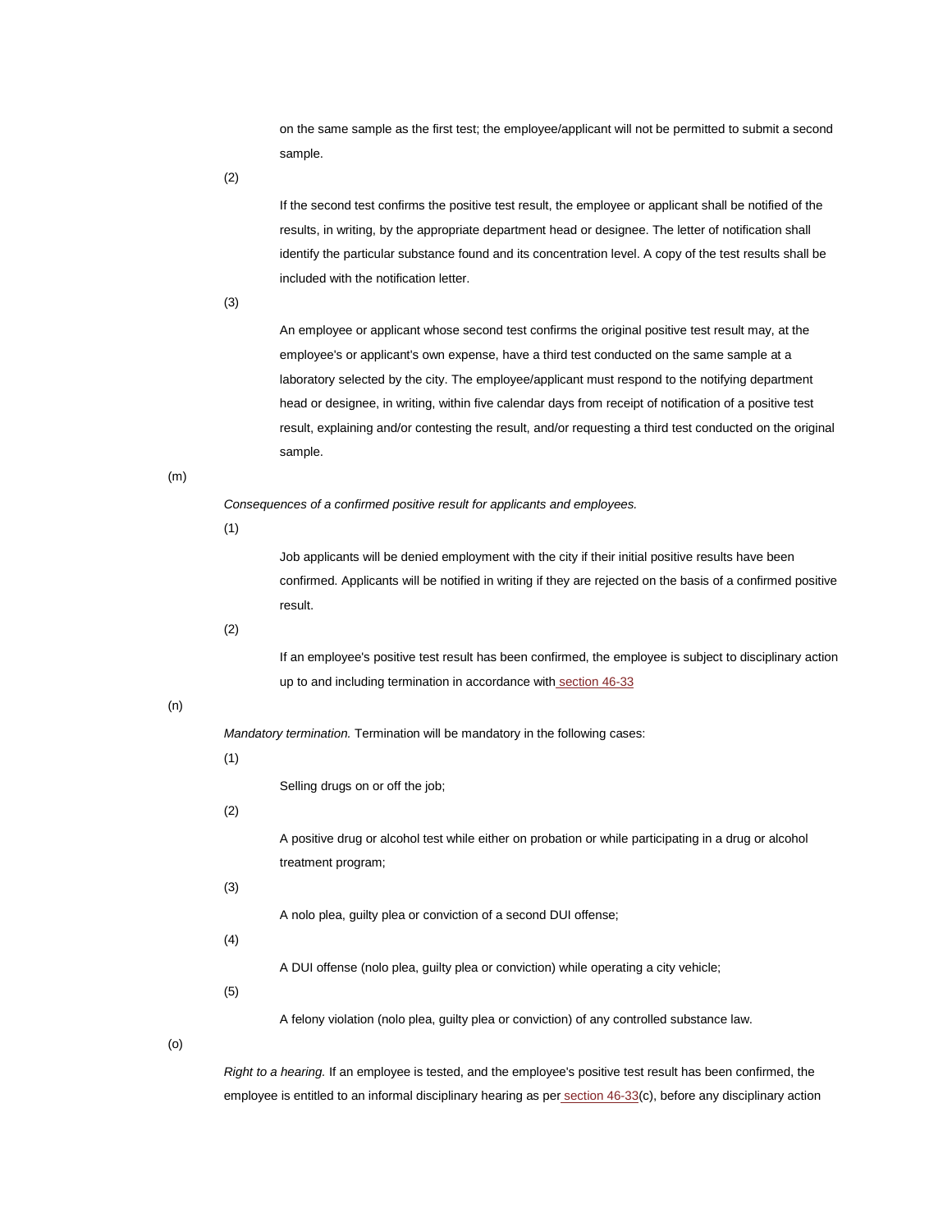on the same sample as the first test; the employee/applicant will not be permitted to submit a second sample.

(2)

If the second test confirms the positive test result, the employee or applicant shall be notified of the results, in writing, by the appropriate department head or designee. The letter of notification shall identify the particular substance found and its concentration level. A copy of the test results shall be included with the notification letter.

(3)

An employee or applicant whose second test confirms the original positive test result may, at the employee's or applicant's own expense, have a third test conducted on the same sample at a laboratory selected by the city. The employee/applicant must respond to the notifying department head or designee, in writing, within five calendar days from receipt of notification of a positive test result, explaining and/or contesting the result, and/or requesting a third test conducted on the original sample.

(m)

*Consequences of a confirmed positive result for applicants and employees.*

(1)

Job applicants will be denied employment with the city if their initial positive results have been confirmed. Applicants will be notified in writing if they are rejected on the basis of a confirmed positive result.

(2)

If an employee's positive test result has been confirmed, the employee is subject to disciplinary action up to and including termination in accordance with [section 46-33](http://library.municode.com/HTML/14104/level3/PTIICOOR_CH46PE_ARTIIPERU.html#PTIICOOR_CH46PE_ARTIIPERU_S46-33DIAC)

## (n)

*Mandatory termination.* Termination will be mandatory in the following cases:

## (1)

Selling drugs on or off the job;

# (2)

A positive drug or alcohol test while either on probation or while participating in a drug or alcohol treatment program;

(3)

A nolo plea, guilty plea or conviction of a second DUI offense;

(4)

A DUI offense (nolo plea, guilty plea or conviction) while operating a city vehicle;

(5)

A felony violation (nolo plea, guilty plea or conviction) of any controlled substance law.

(o)

*Right to a hearing.* If an employee is tested, and the employee's positive test result has been confirmed, the employee is entitled to an informal disciplinary hearing as per [section 46-33\(](http://library.municode.com/HTML/14104/level3/PTIICOOR_CH46PE_ARTIIPERU.html#PTIICOOR_CH46PE_ARTIIPERU_S46-33DIAC)c), before any disciplinary action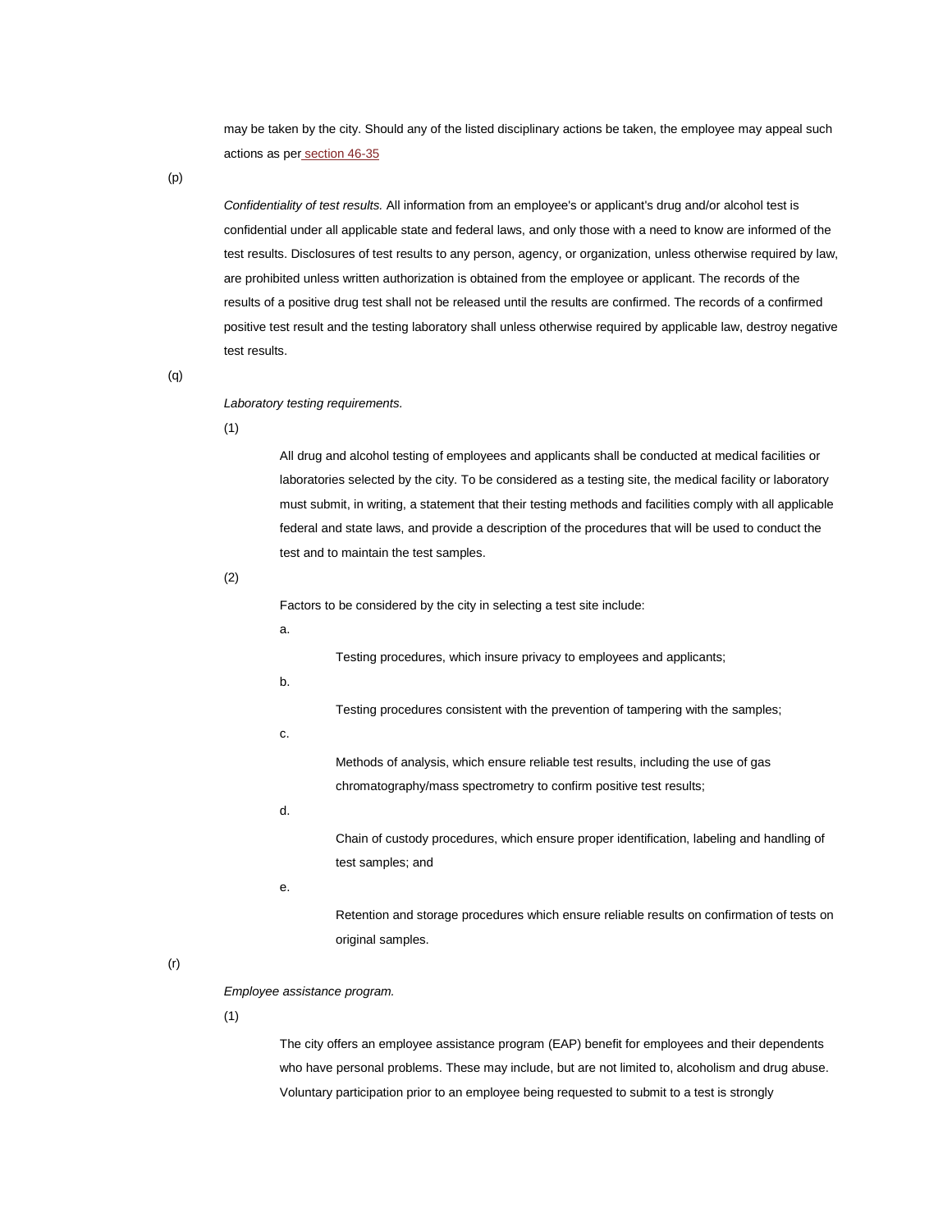may be taken by the city. Should any of the listed disciplinary actions be taken, the employee may appeal such actions as per [section 46-35](http://library.municode.com/HTML/14104/level3/PTIICOOR_CH46PE_ARTIIPERU.html#PTIICOOR_CH46PE_ARTIIPERU_S46-35APDIAC)

(p)

*Confidentiality of test results.* All information from an employee's or applicant's drug and/or alcohol test is confidential under all applicable state and federal laws, and only those with a need to know are informed of the test results. Disclosures of test results to any person, agency, or organization, unless otherwise required by law, are prohibited unless written authorization is obtained from the employee or applicant. The records of the results of a positive drug test shall not be released until the results are confirmed. The records of a confirmed positive test result and the testing laboratory shall unless otherwise required by applicable law, destroy negative test results.

(q)

#### *Laboratory testing requirements.*

(1)

All drug and alcohol testing of employees and applicants shall be conducted at medical facilities or laboratories selected by the city. To be considered as a testing site, the medical facility or laboratory must submit, in writing, a statement that their testing methods and facilities comply with all applicable federal and state laws, and provide a description of the procedures that will be used to conduct the test and to maintain the test samples.

(2)

Factors to be considered by the city in selecting a test site include:

a.

Testing procedures, which insure privacy to employees and applicants;

b.

Testing procedures consistent with the prevention of tampering with the samples;

c.

Methods of analysis, which ensure reliable test results, including the use of gas chromatography/mass spectrometry to confirm positive test results;

d.

Chain of custody procedures, which ensure proper identification, labeling and handling of test samples; and

e.

Retention and storage procedures which ensure reliable results on confirmation of tests on original samples.

(r)

#### *Employee assistance program.*

(1)

The city offers an employee assistance program (EAP) benefit for employees and their dependents who have personal problems. These may include, but are not limited to, alcoholism and drug abuse. Voluntary participation prior to an employee being requested to submit to a test is strongly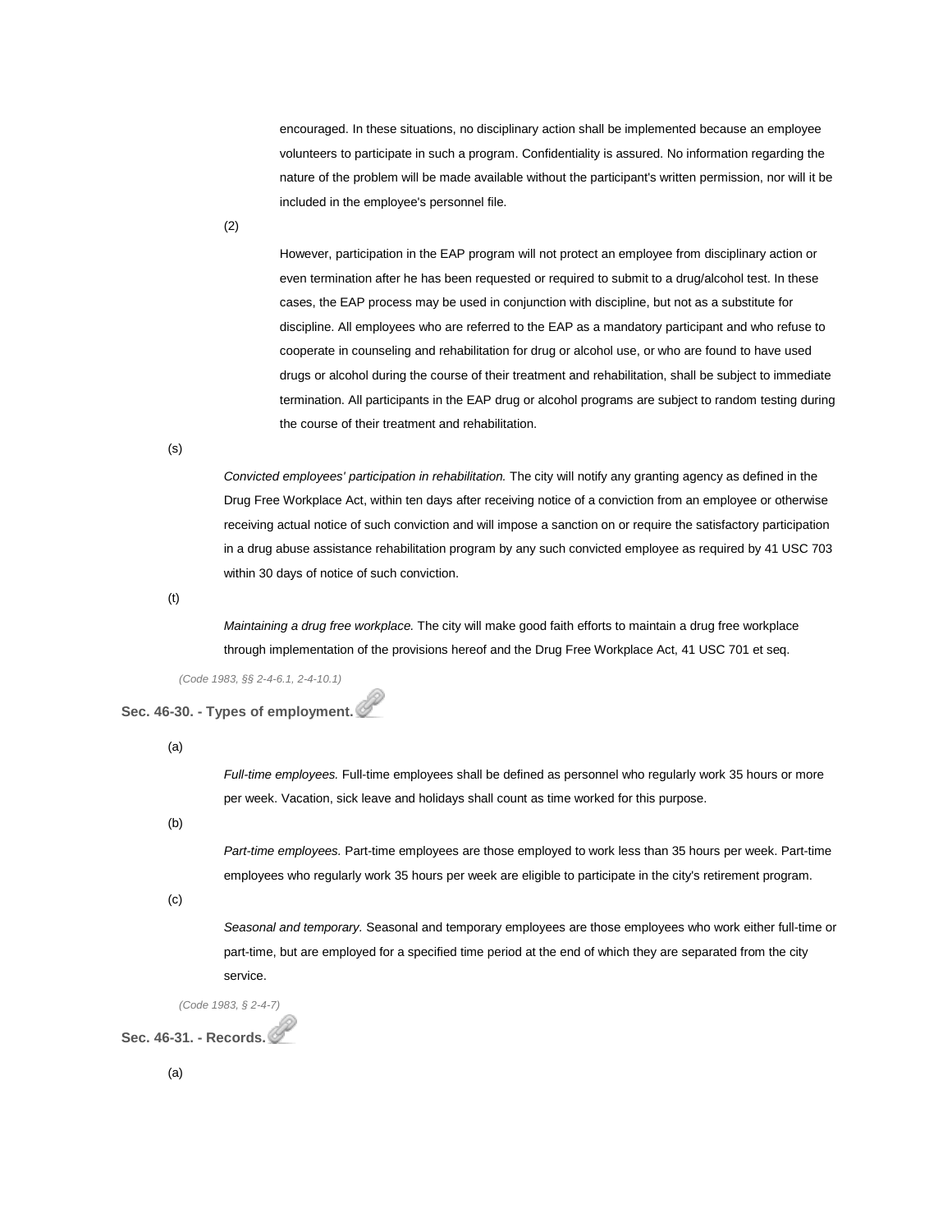encouraged. In these situations, no disciplinary action shall be implemented because an employee volunteers to participate in such a program. Confidentiality is assured. No information regarding the nature of the problem will be made available without the participant's written permission, nor will it be included in the employee's personnel file.

(2)

However, participation in the EAP program will not protect an employee from disciplinary action or even termination after he has been requested or required to submit to a drug/alcohol test. In these cases, the EAP process may be used in conjunction with discipline, but not as a substitute for discipline. All employees who are referred to the EAP as a mandatory participant and who refuse to cooperate in counseling and rehabilitation for drug or alcohol use, or who are found to have used drugs or alcohol during the course of their treatment and rehabilitation, shall be subject to immediate termination. All participants in the EAP drug or alcohol programs are subject to random testing during the course of their treatment and rehabilitation.

(s)

*Convicted employees' participation in rehabilitation.* The city will notify any granting agency as defined in the Drug Free Workplace Act, within ten days after receiving notice of a conviction from an employee or otherwise receiving actual notice of such conviction and will impose a sanction on or require the satisfactory participation in a drug abuse assistance rehabilitation program by any such convicted employee as required by 41 USC 703 within 30 days of notice of such conviction.

(t)

*Maintaining a drug free workplace.* The city will make good faith efforts to maintain a drug free workplace through implementation of the provisions hereof and the Drug Free Workplace Act, 41 USC 701 et seq.

*(Code 1983, §§ 2-4-6.1, 2-4-10.1)*

**Sec. 46-30. - Types of employment.**

(a)

*Full-time employees.* Full-time employees shall be defined as personnel who regularly work 35 hours or more per week. Vacation, sick leave and holidays shall count as time worked for this purpose.

(b)

*Part-time employees.* Part-time employees are those employed to work less than 35 hours per week. Part-time employees who regularly work 35 hours per week are eligible to participate in the city's retirement program.

(c)

*Seasonal and temporary.* Seasonal and temporary employees are those employees who work either full-time or part-time, but are employed for a specified time period at the end of which they are separated from the city service.

*(Code 1983, § 2-4-7)*

**Sec. 46-31. - Records.**

(a)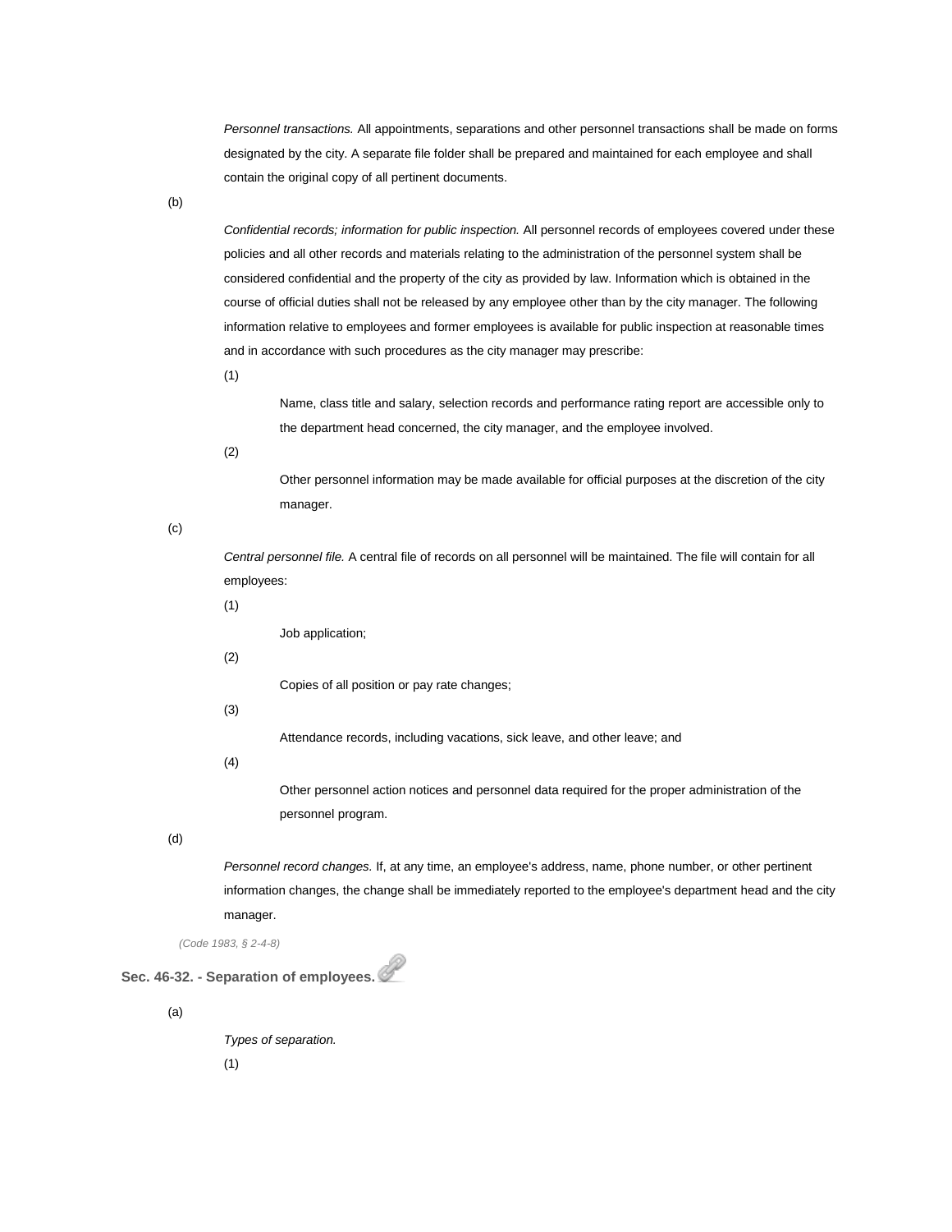*Personnel transactions.* All appointments, separations and other personnel transactions shall be made on forms designated by the city. A separate file folder shall be prepared and maintained for each employee and shall contain the original copy of all pertinent documents.

(b)

*Confidential records; information for public inspection.* All personnel records of employees covered under these policies and all other records and materials relating to the administration of the personnel system shall be considered confidential and the property of the city as provided by law. Information which is obtained in the course of official duties shall not be released by any employee other than by the city manager. The following information relative to employees and former employees is available for public inspection at reasonable times and in accordance with such procedures as the city manager may prescribe:

(1)

Name, class title and salary, selection records and performance rating report are accessible only to the department head concerned, the city manager, and the employee involved.

(2)

Other personnel information may be made available for official purposes at the discretion of the city manager.

(c)

*Central personnel file.* A central file of records on all personnel will be maintained. The file will contain for all employees:

(1)

Job application;

(2)

Copies of all position or pay rate changes;

(3)

Attendance records, including vacations, sick leave, and other leave; and

(4)

Other personnel action notices and personnel data required for the proper administration of the personnel program.

(d)

*Personnel record changes.* If, at any time, an employee's address, name, phone number, or other pertinent information changes, the change shall be immediately reported to the employee's department head and the city manager.

*(Code 1983, § 2-4-8)*

**Sec. 46-32. - Separation of employees.**

(a)

*Types of separation.*

(1)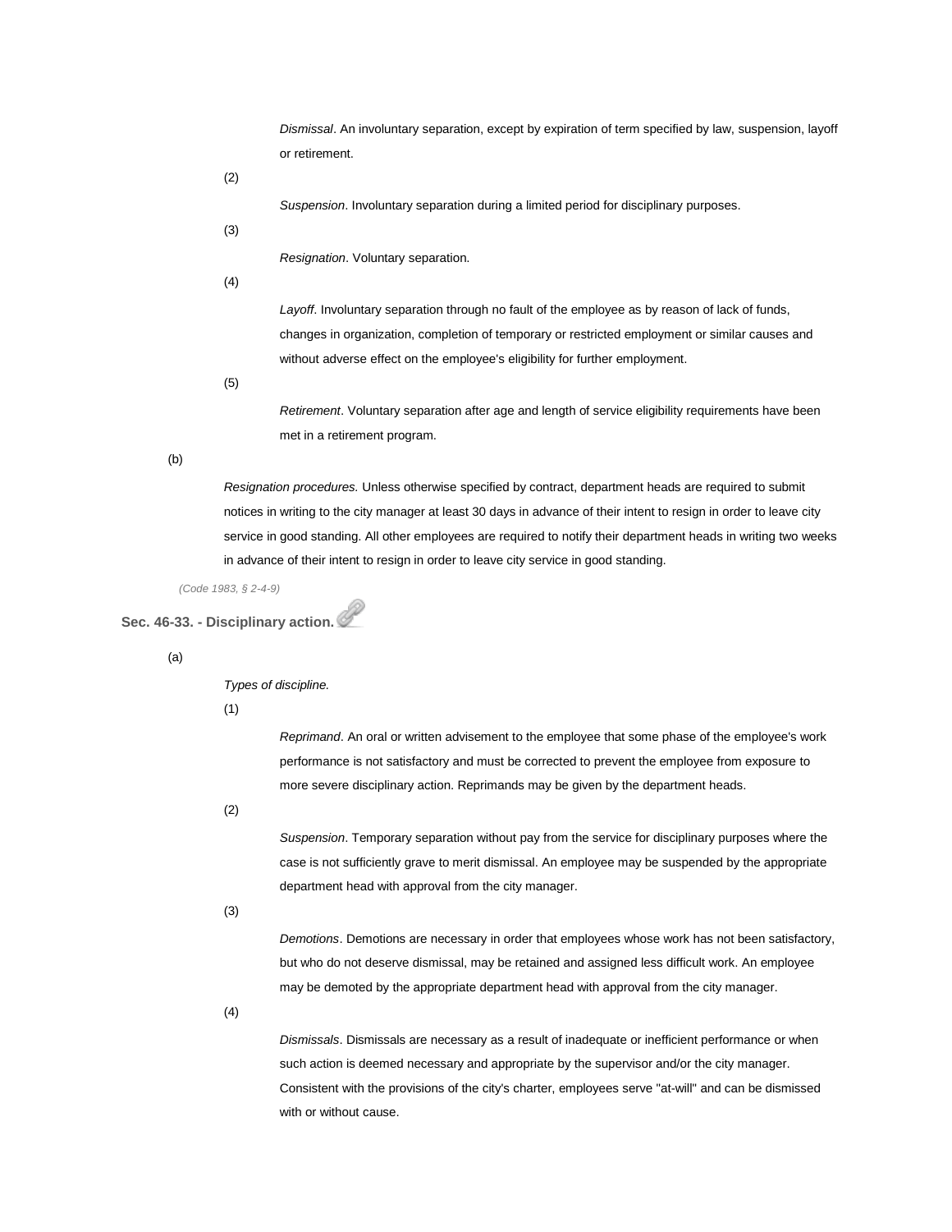*Dismissal*. An involuntary separation, except by expiration of term specified by law, suspension, layoff or retirement.

(2)

*Suspension*. Involuntary separation during a limited period for disciplinary purposes.

(3)

*Resignation*. Voluntary separation.

(4)

*Layoff*. Involuntary separation through no fault of the employee as by reason of lack of funds, changes in organization, completion of temporary or restricted employment or similar causes and without adverse effect on the employee's eligibility for further employment.

(5)

*Retirement*. Voluntary separation after age and length of service eligibility requirements have been met in a retirement program.

(b)

*Resignation procedures.* Unless otherwise specified by contract, department heads are required to submit notices in writing to the city manager at least 30 days in advance of their intent to resign in order to leave city service in good standing. All other employees are required to notify their department heads in writing two weeks in advance of their intent to resign in order to leave city service in good standing.

*(Code 1983, § 2-4-9)*

**Sec. 46-33. - Disciplinary action.**

(a)

*Types of discipline.*

(1)

*Reprimand*. An oral or written advisement to the employee that some phase of the employee's work performance is not satisfactory and must be corrected to prevent the employee from exposure to more severe disciplinary action. Reprimands may be given by the department heads.

(2)

*Suspension*. Temporary separation without pay from the service for disciplinary purposes where the case is not sufficiently grave to merit dismissal. An employee may be suspended by the appropriate department head with approval from the city manager.

(3)

*Demotions*. Demotions are necessary in order that employees whose work has not been satisfactory, but who do not deserve dismissal, may be retained and assigned less difficult work. An employee may be demoted by the appropriate department head with approval from the city manager.

(4)

*Dismissals*. Dismissals are necessary as a result of inadequate or inefficient performance or when such action is deemed necessary and appropriate by the supervisor and/or the city manager. Consistent with the provisions of the city's charter, employees serve "at-will" and can be dismissed with or without cause.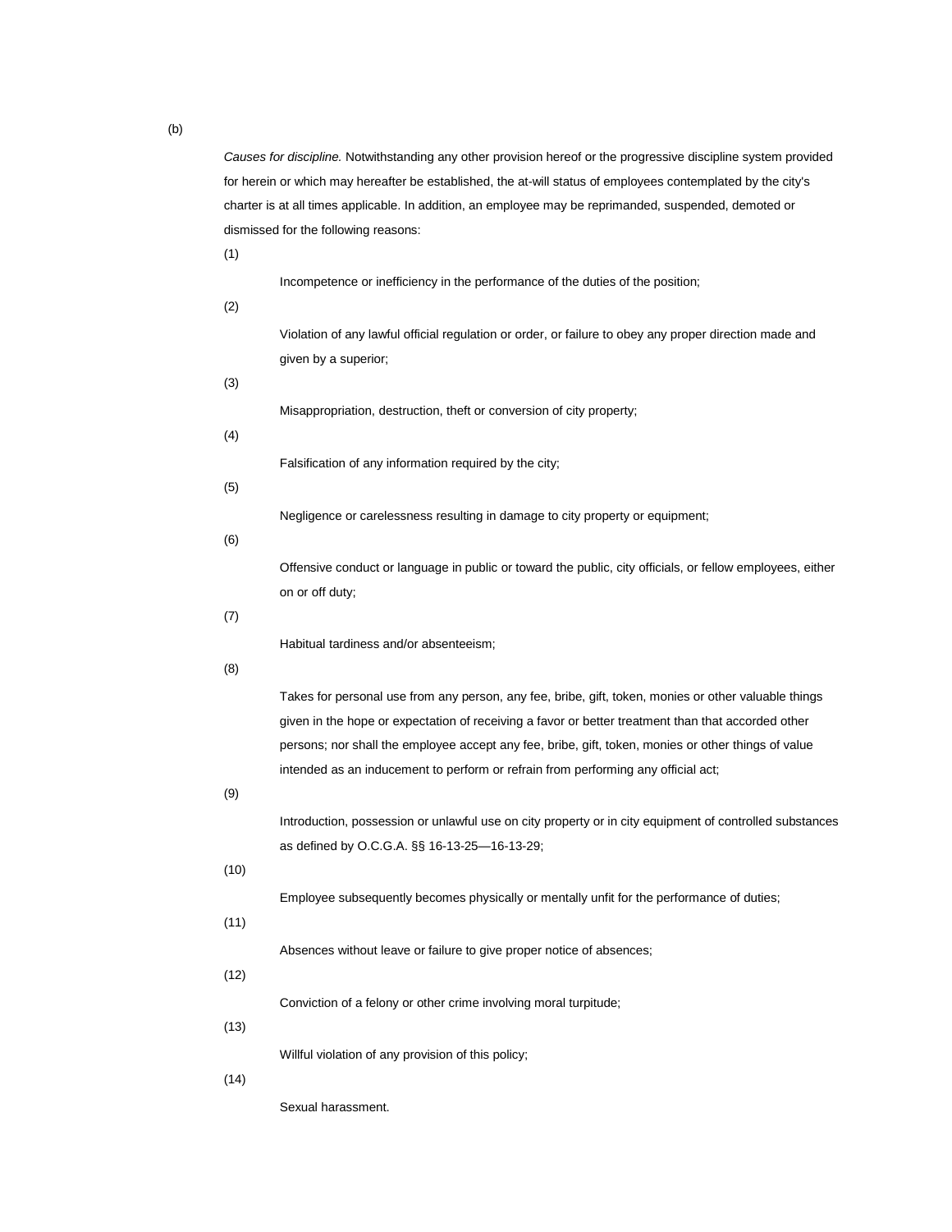*Causes for discipline.* Notwithstanding any other provision hereof or the progressive discipline system provided for herein or which may hereafter be established, the at-will status of employees contemplated by the city's charter is at all times applicable. In addition, an employee may be reprimanded, suspended, demoted or dismissed for the following reasons:

(1)

Incompetence or inefficiency in the performance of the duties of the position;

(2)

Violation of any lawful official regulation or order, or failure to obey any proper direction made and given by a superior;

(3)

Misappropriation, destruction, theft or conversion of city property;

(4)

Falsification of any information required by the city;

(5)

Negligence or carelessness resulting in damage to city property or equipment;

(6)

Offensive conduct or language in public or toward the public, city officials, or fellow employees, either on or off duty;

(7)

Habitual tardiness and/or absenteeism;

(8)

Takes for personal use from any person, any fee, bribe, gift, token, monies or other valuable things given in the hope or expectation of receiving a favor or better treatment than that accorded other persons; nor shall the employee accept any fee, bribe, gift, token, monies or other things of value intended as an inducement to perform or refrain from performing any official act;

(9)

Introduction, possession or unlawful use on city property or in city equipment of controlled substances as defined by O.C.G.A. §§ 16-13-25—16-13-29;

(10)

Employee subsequently becomes physically or mentally unfit for the performance of duties;

(11)

Absences without leave or failure to give proper notice of absences;

(12)

Conviction of a felony or other crime involving moral turpitude;

(13)

Willful violation of any provision of this policy;

(14)

Sexual harassment.

(b)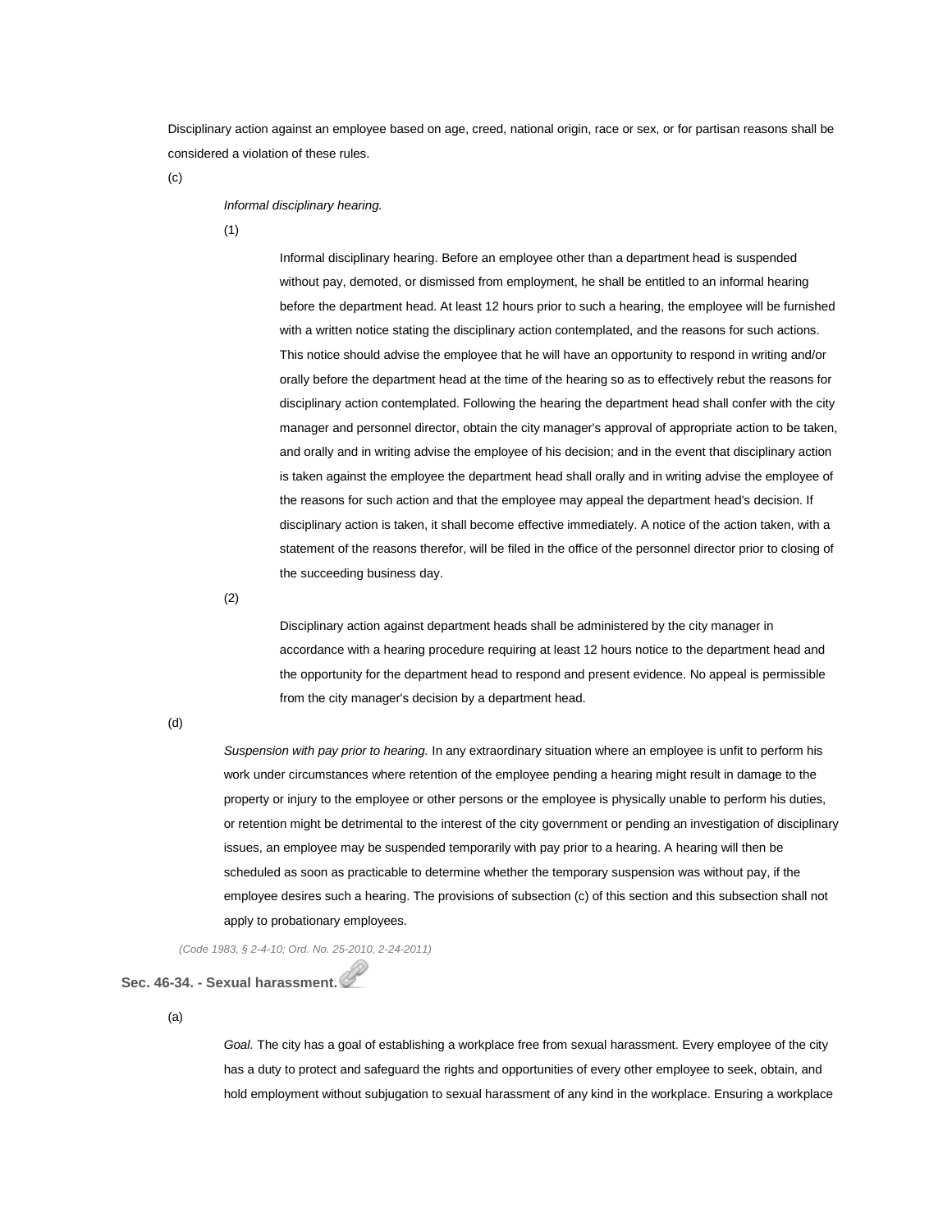Disciplinary action against an employee based on age, creed, national origin, race or sex, or for partisan reasons shall be considered a violation of these rules.

(c)

#### *Informal disciplinary hearing.*

(1)

Informal disciplinary hearing. Before an employee other than a department head is suspended without pay, demoted, or dismissed from employment, he shall be entitled to an informal hearing before the department head. At least 12 hours prior to such a hearing, the employee will be furnished with a written notice stating the disciplinary action contemplated, and the reasons for such actions. This notice should advise the employee that he will have an opportunity to respond in writing and/or orally before the department head at the time of the hearing so as to effectively rebut the reasons for disciplinary action contemplated. Following the hearing the department head shall confer with the city manager and personnel director, obtain the city manager's approval of appropriate action to be taken, and orally and in writing advise the employee of his decision; and in the event that disciplinary action is taken against the employee the department head shall orally and in writing advise the employee of the reasons for such action and that the employee may appeal the department head's decision. If disciplinary action is taken, it shall become effective immediately. A notice of the action taken, with a statement of the reasons therefor, will be filed in the office of the personnel director prior to closing of the succeeding business day.

(2)

Disciplinary action against department heads shall be administered by the city manager in accordance with a hearing procedure requiring at least 12 hours notice to the department head and the opportunity for the department head to respond and present evidence. No appeal is permissible from the city manager's decision by a department head.

(d)

*Suspension with pay prior to hearing.* In any extraordinary situation where an employee is unfit to perform his work under circumstances where retention of the employee pending a hearing might result in damage to the property or injury to the employee or other persons or the employee is physically unable to perform his duties, or retention might be detrimental to the interest of the city government or pending an investigation of disciplinary issues, an employee may be suspended temporarily with pay prior to a hearing. A hearing will then be scheduled as soon as practicable to determine whether the temporary suspension was without pay, if the employee desires such a hearing. The provisions of subsection (c) of this section and this subsection shall not apply to probationary employees.

*(Code 1983, § 2-4-10; Ord. No. 25-2010, 2-24-2011)*

### **Sec. 46-34. - Sexual harassment.**

(a)

*Goal.* The city has a goal of establishing a workplace free from sexual harassment. Every employee of the city has a duty to protect and safeguard the rights and opportunities of every other employee to seek, obtain, and hold employment without subjugation to sexual harassment of any kind in the workplace. Ensuring a workplace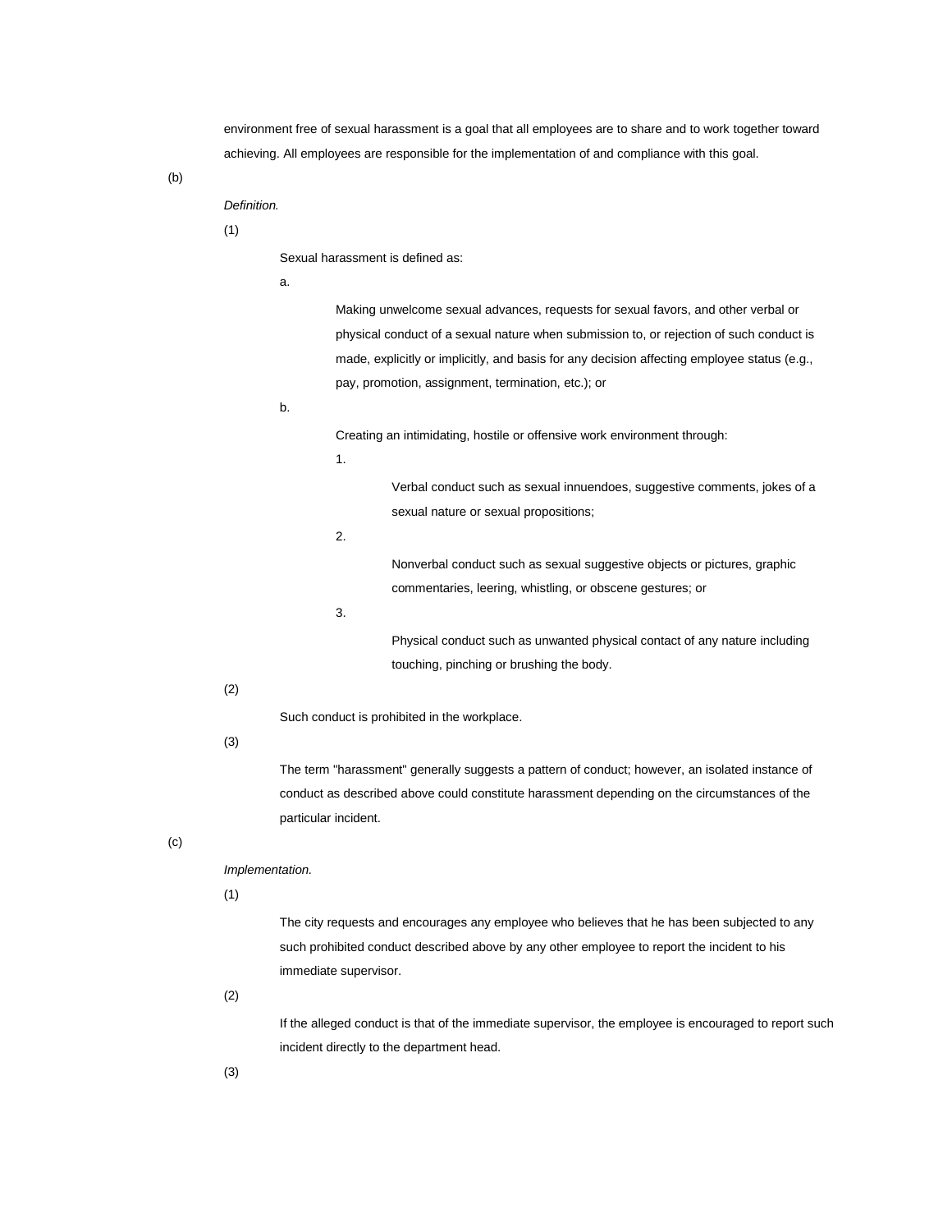environment free of sexual harassment is a goal that all employees are to share and to work together toward achieving. All employees are responsible for the implementation of and compliance with this goal.

(b)

## *Definition.*

# (1)

Sexual harassment is defined as:

a.

Making unwelcome sexual advances, requests for sexual favors, and other verbal or physical conduct of a sexual nature when submission to, or rejection of such conduct is made, explicitly or implicitly, and basis for any decision affecting employee status (e.g., pay, promotion, assignment, termination, etc.); or

b.

Creating an intimidating, hostile or offensive work environment through:

1.

Verbal conduct such as sexual innuendoes, suggestive comments, jokes of a

sexual nature or sexual propositions;

2.

Nonverbal conduct such as sexual suggestive objects or pictures, graphic commentaries, leering, whistling, or obscene gestures; or

3.

Physical conduct such as unwanted physical contact of any nature including touching, pinching or brushing the body.

(2)

Such conduct is prohibited in the workplace.

### (3)

The term "harassment" generally suggests a pattern of conduct; however, an isolated instance of conduct as described above could constitute harassment depending on the circumstances of the particular incident.

(c)

# *Implementation.*

(1)

The city requests and encourages any employee who believes that he has been subjected to any such prohibited conduct described above by any other employee to report the incident to his immediate supervisor.

(2)

If the alleged conduct is that of the immediate supervisor, the employee is encouraged to report such incident directly to the department head.

(3)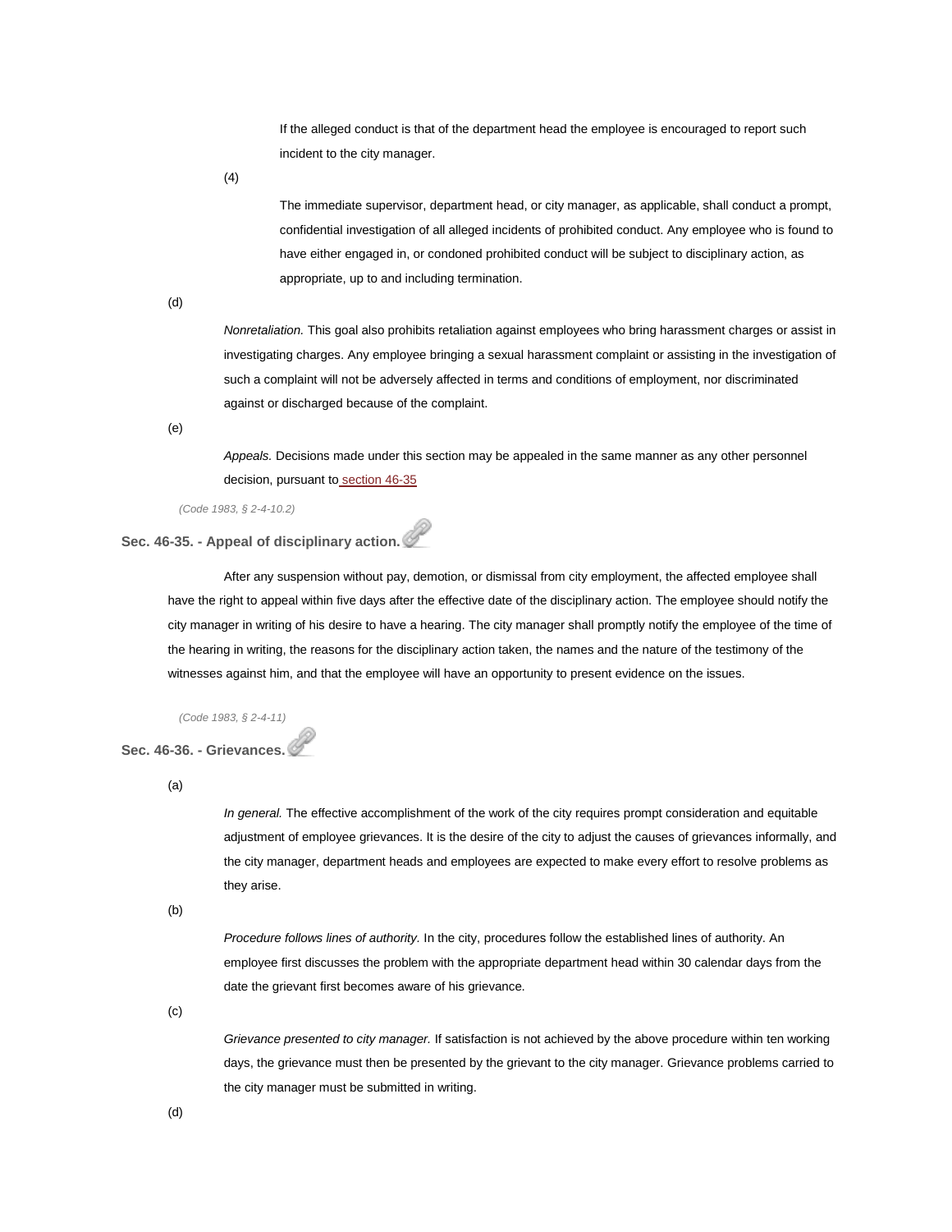If the alleged conduct is that of the department head the employee is encouraged to report such incident to the city manager.

(4)

The immediate supervisor, department head, or city manager, as applicable, shall conduct a prompt, confidential investigation of all alleged incidents of prohibited conduct. Any employee who is found to have either engaged in, or condoned prohibited conduct will be subject to disciplinary action, as appropriate, up to and including termination.

(d)

*Nonretaliation.* This goal also prohibits retaliation against employees who bring harassment charges or assist in investigating charges. Any employee bringing a sexual harassment complaint or assisting in the investigation of such a complaint will not be adversely affected in terms and conditions of employment, nor discriminated against or discharged because of the complaint.

(e)

*Appeals.* Decisions made under this section may be appealed in the same manner as any other personnel decision, pursuant to [section 46-35](http://library.municode.com/HTML/14104/level3/PTIICOOR_CH46PE_ARTIIPERU.html#PTIICOOR_CH46PE_ARTIIPERU_S46-35APDIAC)

*(Code 1983, § 2-4-10.2)*

### **Sec. 46-35. - Appeal of disciplinary action.**

After any suspension without pay, demotion, or dismissal from city employment, the affected employee shall have the right to appeal within five days after the effective date of the disciplinary action. The employee should notify the city manager in writing of his desire to have a hearing. The city manager shall promptly notify the employee of the time of the hearing in writing, the reasons for the disciplinary action taken, the names and the nature of the testimony of the witnesses against him, and that the employee will have an opportunity to present evidence on the issues.

*(Code 1983, § 2-4-11)*

## **Sec. 46-36. - Grievances.**

(a)

*In general.* The effective accomplishment of the work of the city requires prompt consideration and equitable adjustment of employee grievances. It is the desire of the city to adjust the causes of grievances informally, and the city manager, department heads and employees are expected to make every effort to resolve problems as they arise.

(b)

*Procedure follows lines of authority.* In the city, procedures follow the established lines of authority. An employee first discusses the problem with the appropriate department head within 30 calendar days from the date the grievant first becomes aware of his grievance.

(c)

*Grievance presented to city manager.* If satisfaction is not achieved by the above procedure within ten working days, the grievance must then be presented by the grievant to the city manager. Grievance problems carried to the city manager must be submitted in writing.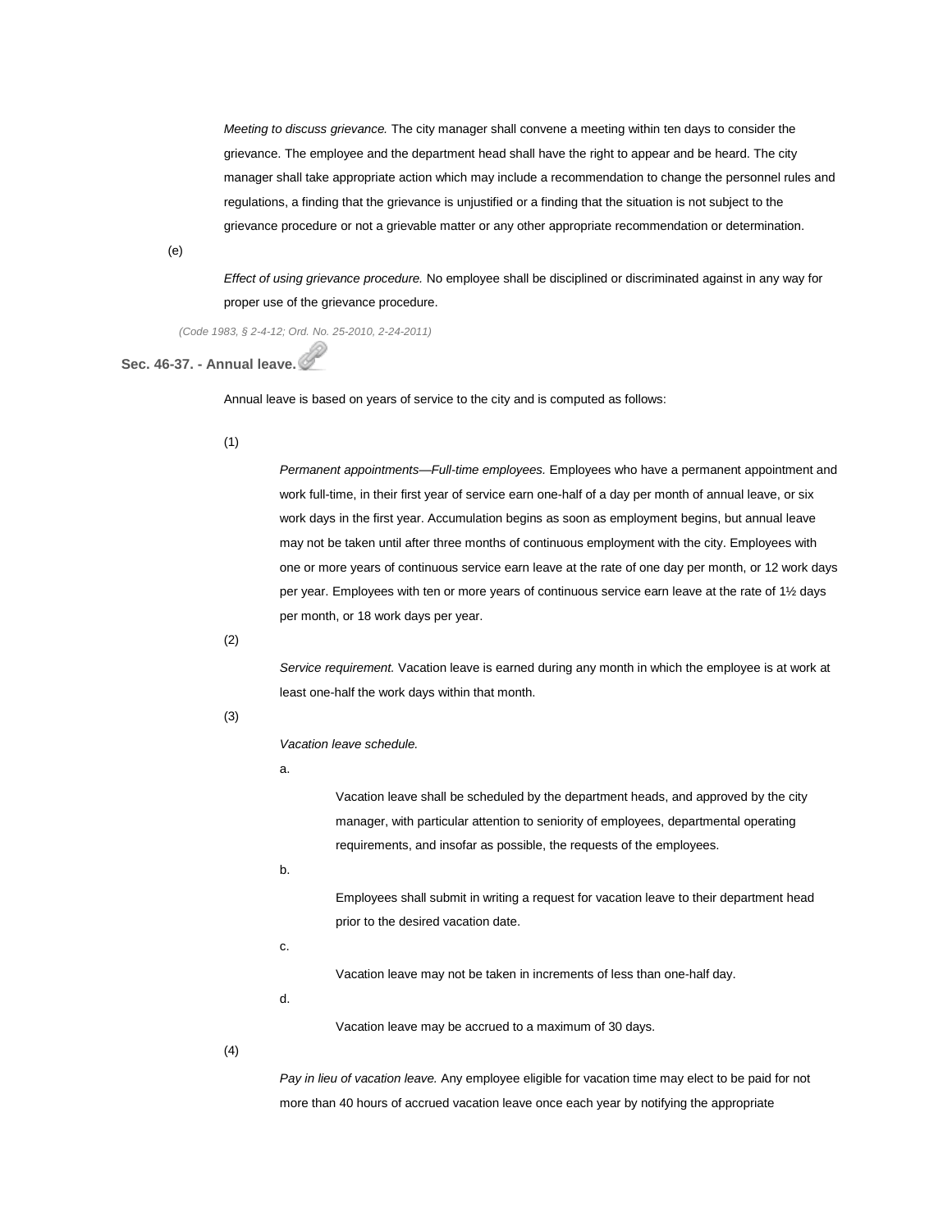*Meeting to discuss grievance.* The city manager shall convene a meeting within ten days to consider the grievance. The employee and the department head shall have the right to appear and be heard. The city manager shall take appropriate action which may include a recommendation to change the personnel rules and regulations, a finding that the grievance is unjustified or a finding that the situation is not subject to the grievance procedure or not a grievable matter or any other appropriate recommendation or determination.

(e)

*Effect of using grievance procedure.* No employee shall be disciplined or discriminated against in any way for proper use of the grievance procedure.

*(Code 1983, § 2-4-12; Ord. No. 25-2010, 2-24-2011)*

## **Sec. 46-37. - Annual leave.**

Annual leave is based on years of service to the city and is computed as follows:

#### (1)

*Permanent appointments—Full-time employees.* Employees who have a permanent appointment and work full-time, in their first year of service earn one-half of a day per month of annual leave, or six work days in the first year. Accumulation begins as soon as employment begins, but annual leave may not be taken until after three months of continuous employment with the city. Employees with one or more years of continuous service earn leave at the rate of one day per month, or 12 work days per year. Employees with ten or more years of continuous service earn leave at the rate of 1½ days per month, or 18 work days per year.

(2)

*Service requirement.* Vacation leave is earned during any month in which the employee is at work at least one-half the work days within that month.

#### (3)

*Vacation leave schedule.*

a.

Vacation leave shall be scheduled by the department heads, and approved by the city manager, with particular attention to seniority of employees, departmental operating requirements, and insofar as possible, the requests of the employees.

b.

Employees shall submit in writing a request for vacation leave to their department head prior to the desired vacation date.

c.

Vacation leave may not be taken in increments of less than one-half day.

d.

Vacation leave may be accrued to a maximum of 30 days.

(4)

*Pay in lieu of vacation leave.* Any employee eligible for vacation time may elect to be paid for not more than 40 hours of accrued vacation leave once each year by notifying the appropriate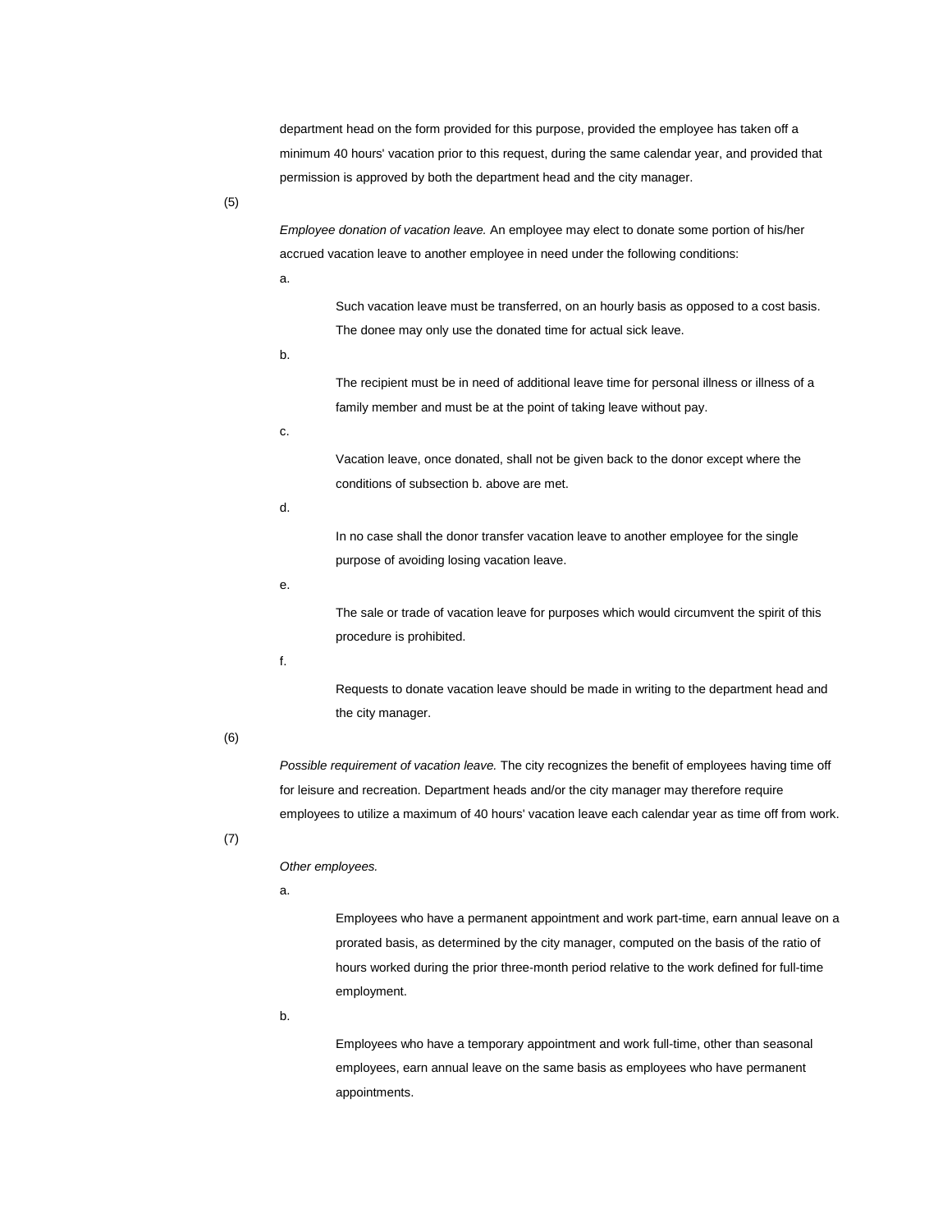department head on the form provided for this purpose, provided the employee has taken off a minimum 40 hours' vacation prior to this request, during the same calendar year, and provided that permission is approved by both the department head and the city manager.

(5)

*Employee donation of vacation leave.* An employee may elect to donate some portion of his/her accrued vacation leave to another employee in need under the following conditions:

a.

Such vacation leave must be transferred, on an hourly basis as opposed to a cost basis. The donee may only use the donated time for actual sick leave.

b.

The recipient must be in need of additional leave time for personal illness or illness of a family member and must be at the point of taking leave without pay.

c.

Vacation leave, once donated, shall not be given back to the donor except where the conditions of subsection b. above are met.

d.

In no case shall the donor transfer vacation leave to another employee for the single purpose of avoiding losing vacation leave.

e.

The sale or trade of vacation leave for purposes which would circumvent the spirit of this procedure is prohibited.

f.

Requests to donate vacation leave should be made in writing to the department head and the city manager.

### (6)

*Possible requirement of vacation leave.* The city recognizes the benefit of employees having time off for leisure and recreation. Department heads and/or the city manager may therefore require employees to utilize a maximum of 40 hours' vacation leave each calendar year as time off from work.

## (7)

*Other employees.*

a.

Employees who have a permanent appointment and work part-time, earn annual leave on a prorated basis, as determined by the city manager, computed on the basis of the ratio of hours worked during the prior three-month period relative to the work defined for full-time employment.

b.

Employees who have a temporary appointment and work full-time, other than seasonal employees, earn annual leave on the same basis as employees who have permanent appointments.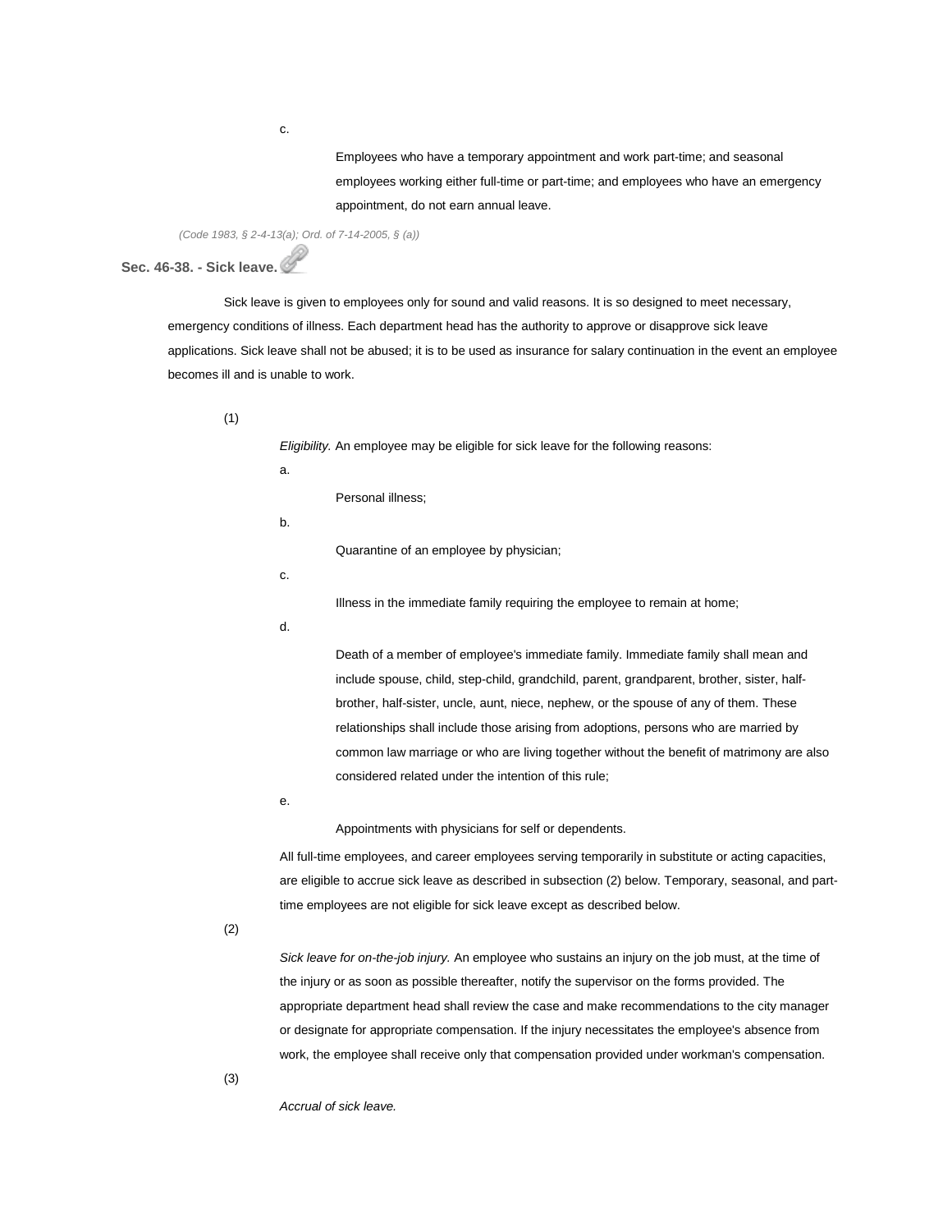Employees who have a temporary appointment and work part-time; and seasonal employees working either full-time or part-time; and employees who have an emergency appointment, do not earn annual leave.

*(Code 1983, § 2-4-13(a); Ord. of 7-14-2005, § (a))*

**Sec. 46-38. - Sick leave.**

Sick leave is given to employees only for sound and valid reasons. It is so designed to meet necessary, emergency conditions of illness. Each department head has the authority to approve or disapprove sick leave applications. Sick leave shall not be abused; it is to be used as insurance for salary continuation in the event an employee becomes ill and is unable to work.

(1)

*Eligibility.* An employee may be eligible for sick leave for the following reasons:

a.

Personal illness;

b.

Quarantine of an employee by physician;

c.

Illness in the immediate family requiring the employee to remain at home;

d.

Death of a member of employee's immediate family. Immediate family shall mean and include spouse, child, step-child, grandchild, parent, grandparent, brother, sister, halfbrother, half-sister, uncle, aunt, niece, nephew, or the spouse of any of them. These relationships shall include those arising from adoptions, persons who are married by common law marriage or who are living together without the benefit of matrimony are also considered related under the intention of this rule;

e.

Appointments with physicians for self or dependents.

All full-time employees, and career employees serving temporarily in substitute or acting capacities, are eligible to accrue sick leave as described in subsection (2) below. Temporary, seasonal, and parttime employees are not eligible for sick leave except as described below.

(2)

*Sick leave for on-the-job injury.* An employee who sustains an injury on the job must, at the time of the injury or as soon as possible thereafter, notify the supervisor on the forms provided. The appropriate department head shall review the case and make recommendations to the city manager or designate for appropriate compensation. If the injury necessitates the employee's absence from work, the employee shall receive only that compensation provided under workman's compensation.

(3)

*Accrual of sick leave.*

c.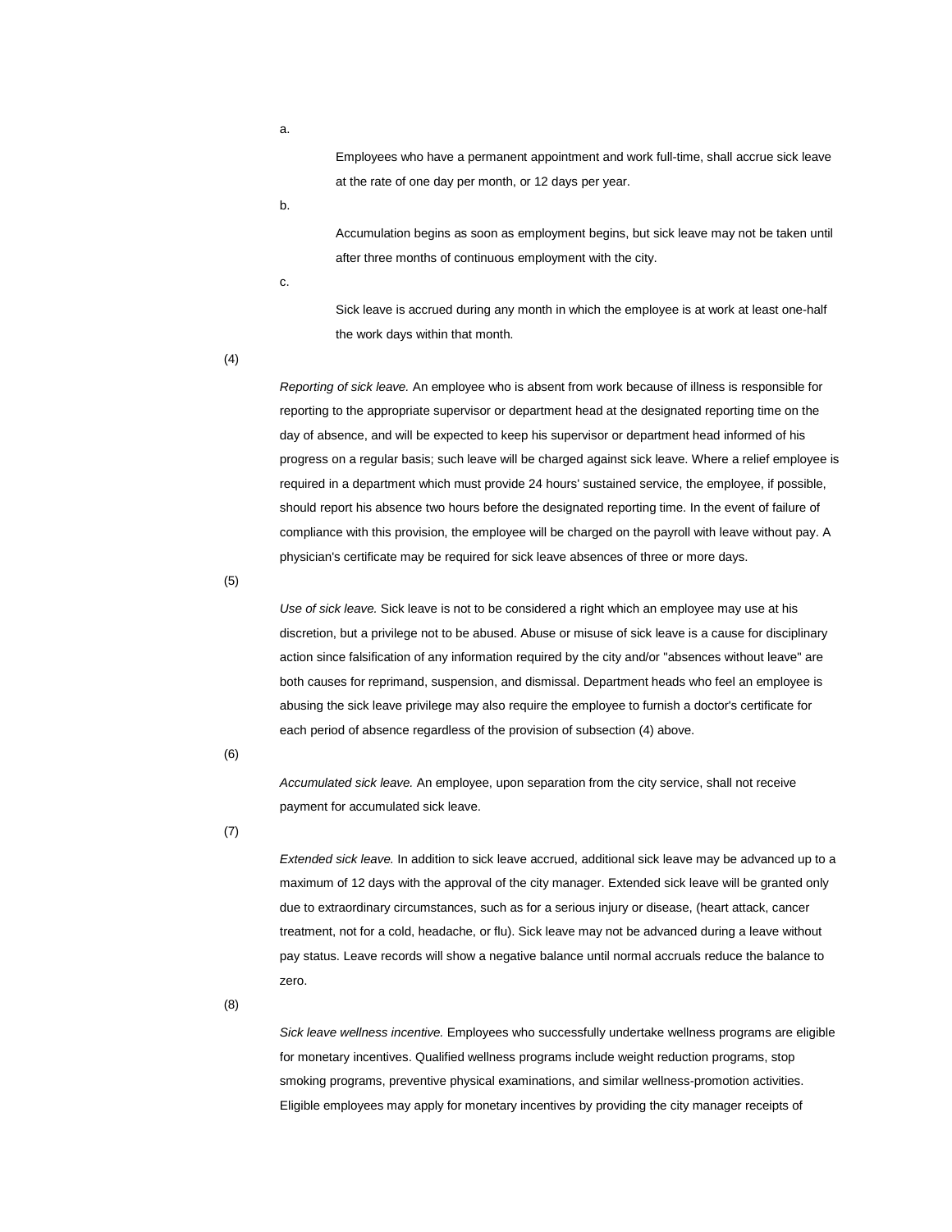Employees who have a permanent appointment and work full-time, shall accrue sick leave at the rate of one day per month, or 12 days per year.

b.

Accumulation begins as soon as employment begins, but sick leave may not be taken until after three months of continuous employment with the city.

c.

Sick leave is accrued during any month in which the employee is at work at least one-half the work days within that month.

(4)

*Reporting of sick leave.* An employee who is absent from work because of illness is responsible for reporting to the appropriate supervisor or department head at the designated reporting time on the day of absence, and will be expected to keep his supervisor or department head informed of his progress on a regular basis; such leave will be charged against sick leave. Where a relief employee is required in a department which must provide 24 hours' sustained service, the employee, if possible, should report his absence two hours before the designated reporting time. In the event of failure of compliance with this provision, the employee will be charged on the payroll with leave without pay. A physician's certificate may be required for sick leave absences of three or more days.

(5)

*Use of sick leave.* Sick leave is not to be considered a right which an employee may use at his discretion, but a privilege not to be abused. Abuse or misuse of sick leave is a cause for disciplinary action since falsification of any information required by the city and/or "absences without leave" are both causes for reprimand, suspension, and dismissal. Department heads who feel an employee is abusing the sick leave privilege may also require the employee to furnish a doctor's certificate for each period of absence regardless of the provision of subsection (4) above.

(6)

*Accumulated sick leave.* An employee, upon separation from the city service, shall not receive payment for accumulated sick leave.

(7)

*Extended sick leave.* In addition to sick leave accrued, additional sick leave may be advanced up to a maximum of 12 days with the approval of the city manager. Extended sick leave will be granted only due to extraordinary circumstances, such as for a serious injury or disease, (heart attack, cancer treatment, not for a cold, headache, or flu). Sick leave may not be advanced during a leave without pay status. Leave records will show a negative balance until normal accruals reduce the balance to zero.

(8)

*Sick leave wellness incentive.* Employees who successfully undertake wellness programs are eligible for monetary incentives. Qualified wellness programs include weight reduction programs, stop smoking programs, preventive physical examinations, and similar wellness-promotion activities. Eligible employees may apply for monetary incentives by providing the city manager receipts of

a.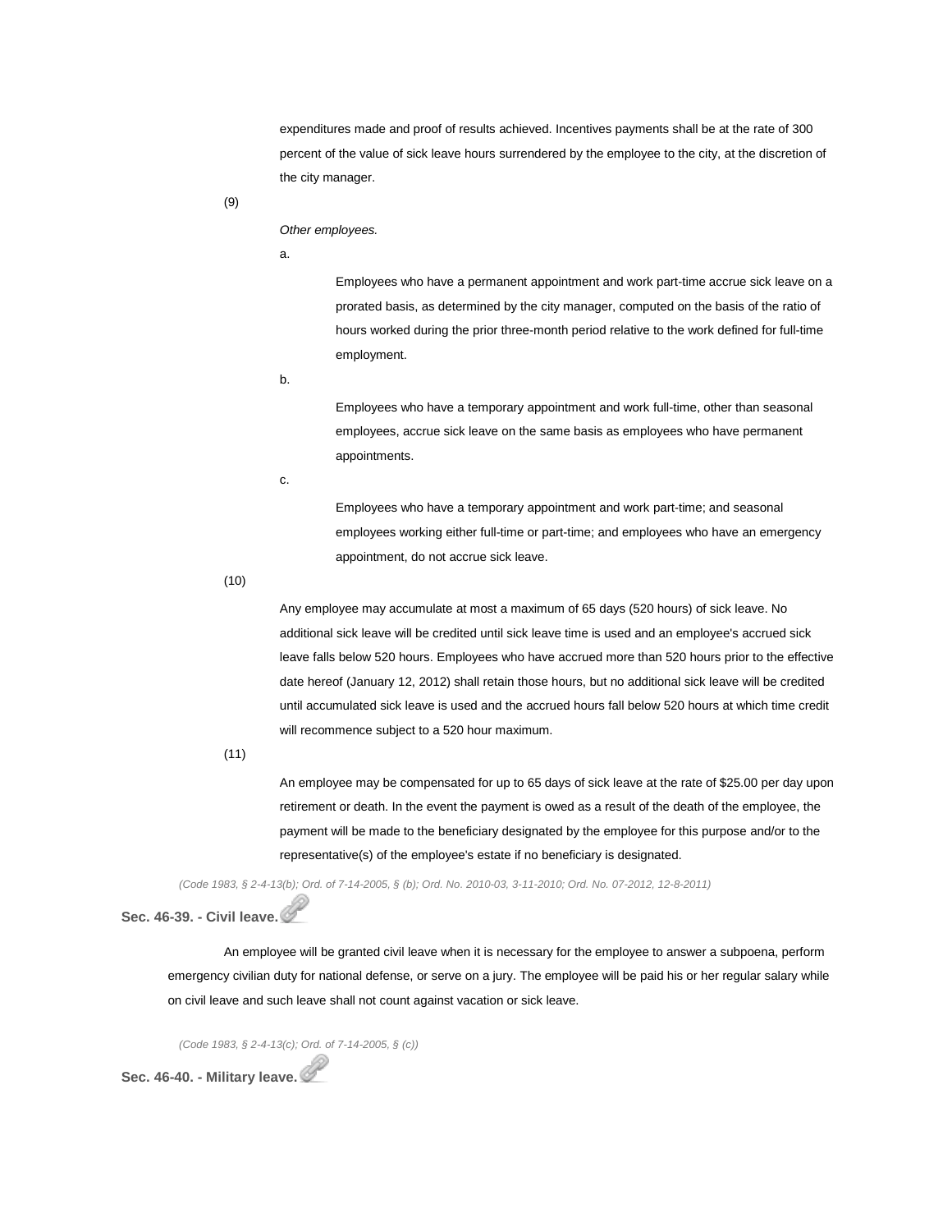expenditures made and proof of results achieved. Incentives payments shall be at the rate of 300 percent of the value of sick leave hours surrendered by the employee to the city, at the discretion of the city manager.

(9)

*Other employees.*

a.

Employees who have a permanent appointment and work part-time accrue sick leave on a prorated basis, as determined by the city manager, computed on the basis of the ratio of hours worked during the prior three-month period relative to the work defined for full-time employment.

b.

Employees who have a temporary appointment and work full-time, other than seasonal employees, accrue sick leave on the same basis as employees who have permanent appointments.

c.

Employees who have a temporary appointment and work part-time; and seasonal employees working either full-time or part-time; and employees who have an emergency appointment, do not accrue sick leave.

(10)

Any employee may accumulate at most a maximum of 65 days (520 hours) of sick leave. No additional sick leave will be credited until sick leave time is used and an employee's accrued sick leave falls below 520 hours. Employees who have accrued more than 520 hours prior to the effective date hereof (January 12, 2012) shall retain those hours, but no additional sick leave will be credited until accumulated sick leave is used and the accrued hours fall below 520 hours at which time credit will recommence subject to a 520 hour maximum.

(11)

An employee may be compensated for up to 65 days of sick leave at the rate of \$25.00 per day upon retirement or death. In the event the payment is owed as a result of the death of the employee, the payment will be made to the beneficiary designated by the employee for this purpose and/or to the representative(s) of the employee's estate if no beneficiary is designated.

(Code 1983, § 2-4-13(b); Ord. of 7-14-2005, § (b); Ord. No. 2010-03, 3-11-2010; Ord. No. 07-2012, 12-8-2011)

**Sec. 46-39. - Civil leave.**

An employee will be granted civil leave when it is necessary for the employee to answer a subpoena, perform emergency civilian duty for national defense, or serve on a jury. The employee will be paid his or her regular salary while on civil leave and such leave shall not count against vacation or sick leave.

*(Code 1983, § 2-4-13(c); Ord. of 7-14-2005, § (c))*

**Sec. 46-40. - Military leave.**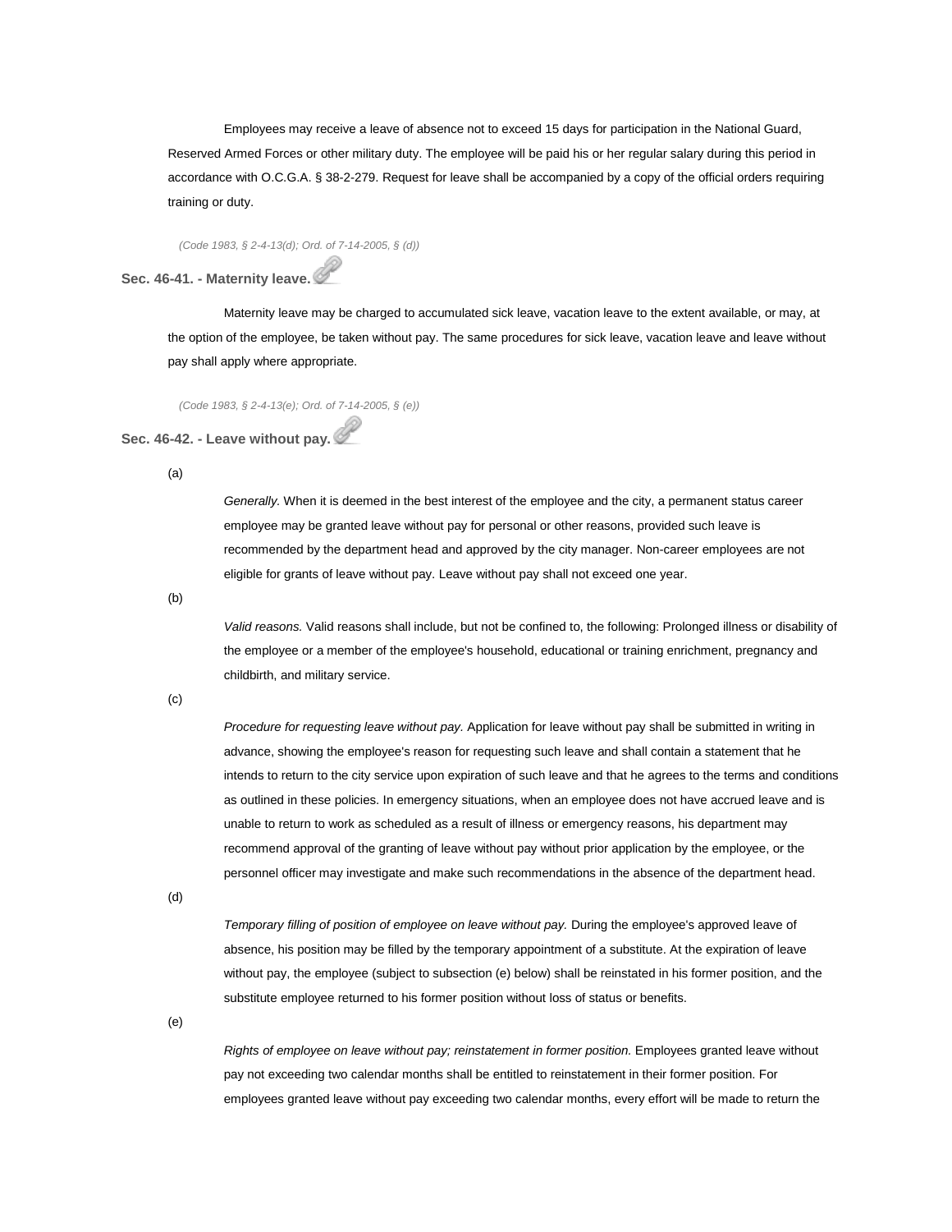Employees may receive a leave of absence not to exceed 15 days for participation in the National Guard, Reserved Armed Forces or other military duty. The employee will be paid his or her regular salary during this period in accordance with O.C.G.A. § 38-2-279. Request for leave shall be accompanied by a copy of the official orders requiring training or duty.

*(Code 1983, § 2-4-13(d); Ord. of 7-14-2005, § (d))*

## **Sec. 46-41. - Maternity leave.**

Maternity leave may be charged to accumulated sick leave, vacation leave to the extent available, or may, at the option of the employee, be taken without pay. The same procedures for sick leave, vacation leave and leave without pay shall apply where appropriate.

*(Code 1983, § 2-4-13(e); Ord. of 7-14-2005, § (e))*

## **Sec. 46-42. - Leave without pay.**

(a)

*Generally*. When it is deemed in the best interest of the employee and the city, a permanent status career employee may be granted leave without pay for personal or other reasons, provided such leave is recommended by the department head and approved by the city manager. Non-career employees are not eligible for grants of leave without pay. Leave without pay shall not exceed one year.

(b)

*Valid reasons.* Valid reasons shall include, but not be confined to, the following: Prolonged illness or disability of the employee or a member of the employee's household, educational or training enrichment, pregnancy and childbirth, and military service.

(c)

*Procedure for requesting leave without pay.* Application for leave without pay shall be submitted in writing in advance, showing the employee's reason for requesting such leave and shall contain a statement that he intends to return to the city service upon expiration of such leave and that he agrees to the terms and conditions as outlined in these policies. In emergency situations, when an employee does not have accrued leave and is unable to return to work as scheduled as a result of illness or emergency reasons, his department may recommend approval of the granting of leave without pay without prior application by the employee, or the personnel officer may investigate and make such recommendations in the absence of the department head.

(d)

*Temporary filling of position of employee on leave without pay.* During the employee's approved leave of absence, his position may be filled by the temporary appointment of a substitute. At the expiration of leave without pay, the employee (subject to subsection (e) below) shall be reinstated in his former position, and the substitute employee returned to his former position without loss of status or benefits.

(e)

*Rights of employee on leave without pay; reinstatement in former position.* Employees granted leave without pay not exceeding two calendar months shall be entitled to reinstatement in their former position. For employees granted leave without pay exceeding two calendar months, every effort will be made to return the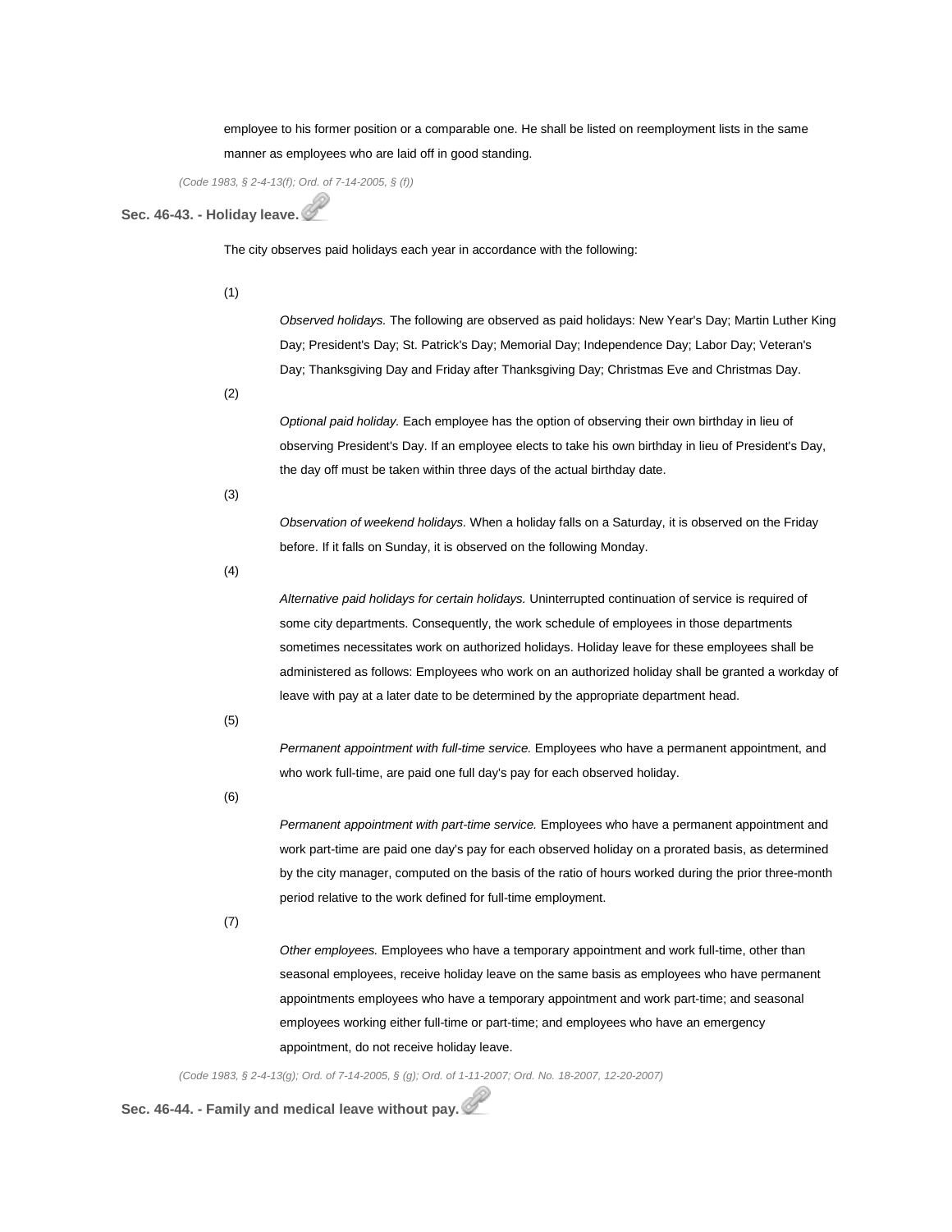employee to his former position or a comparable one. He shall be listed on reemployment lists in the same manner as employees who are laid off in good standing.

*(Code 1983, § 2-4-13(f); Ord. of 7-14-2005, § (f))*

## **Sec. 46-43. - Holiday leave.**

The city observes paid holidays each year in accordance with the following:

(1)

*Observed holidays.* The following are observed as paid holidays: New Year's Day; Martin Luther King Day; President's Day; St. Patrick's Day; Memorial Day; Independence Day; Labor Day; Veteran's Day; Thanksgiving Day and Friday after Thanksgiving Day; Christmas Eve and Christmas Day.

(2)

*Optional paid holiday.* Each employee has the option of observing their own birthday in lieu of observing President's Day. If an employee elects to take his own birthday in lieu of President's Day, the day off must be taken within three days of the actual birthday date.

(3)

*Observation of weekend holidays.* When a holiday falls on a Saturday, it is observed on the Friday before. If it falls on Sunday, it is observed on the following Monday.

(4)

*Alternative paid holidays for certain holidays.* Uninterrupted continuation of service is required of some city departments. Consequently, the work schedule of employees in those departments sometimes necessitates work on authorized holidays. Holiday leave for these employees shall be administered as follows: Employees who work on an authorized holiday shall be granted a workday of leave with pay at a later date to be determined by the appropriate department head.

(5)

*Permanent appointment with full-time service.* Employees who have a permanent appointment, and who work full-time, are paid one full day's pay for each observed holiday.

(6)

*Permanent appointment with part-time service.* Employees who have a permanent appointment and work part-time are paid one day's pay for each observed holiday on a prorated basis, as determined by the city manager, computed on the basis of the ratio of hours worked during the prior three-month period relative to the work defined for full-time employment.

(7)

*Other employees.* Employees who have a temporary appointment and work full-time, other than seasonal employees, receive holiday leave on the same basis as employees who have permanent appointments employees who have a temporary appointment and work part-time; and seasonal employees working either full-time or part-time; and employees who have an emergency appointment, do not receive holiday leave.

*(Code 1983, § 2-4-13(g); Ord. of 7-14-2005, § (g); Ord. of 1-11-2007; Ord. No. 18-2007, 12-20-2007)*

**Sec. 46-44. - Family and medical leave without pay.**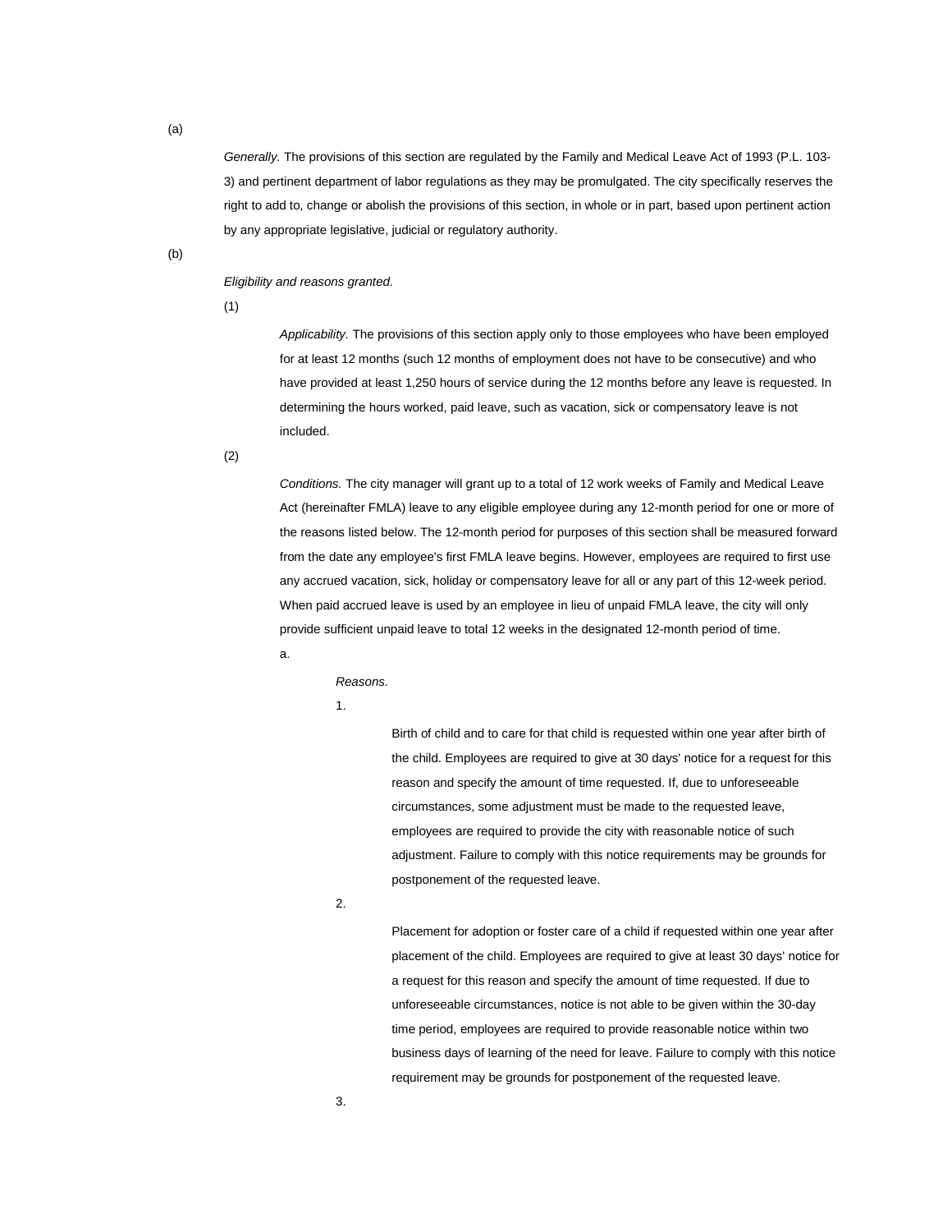*Generally.* The provisions of this section are regulated by the Family and Medical Leave Act of 1993 (P.L. 103- 3) and pertinent department of labor regulations as they may be promulgated. The city specifically reserves the right to add to, change or abolish the provisions of this section, in whole or in part, based upon pertinent action by any appropriate legislative, judicial or regulatory authority.

(b)

(a)

*Eligibility and reasons granted.*

(1)

*Applicability.* The provisions of this section apply only to those employees who have been employed for at least 12 months (such 12 months of employment does not have to be consecutive) and who have provided at least 1,250 hours of service during the 12 months before any leave is requested. In determining the hours worked, paid leave, such as vacation, sick or compensatory leave is not included.

(2)

*Conditions.* The city manager will grant up to a total of 12 work weeks of Family and Medical Leave Act (hereinafter FMLA) leave to any eligible employee during any 12-month period for one or more of the reasons listed below. The 12-month period for purposes of this section shall be measured forward from the date any employee's first FMLA leave begins. However, employees are required to first use any accrued vacation, sick, holiday or compensatory leave for all or any part of this 12-week period. When paid accrued leave is used by an employee in lieu of unpaid FMLA leave, the city will only provide sufficient unpaid leave to total 12 weeks in the designated 12-month period of time.

a.

*Reasons.*

1.

Birth of child and to care for that child is requested within one year after birth of the child. Employees are required to give at 30 days' notice for a request for this reason and specify the amount of time requested. If, due to unforeseeable circumstances, some adjustment must be made to the requested leave, employees are required to provide the city with reasonable notice of such adjustment. Failure to comply with this notice requirements may be grounds for postponement of the requested leave.

2.

Placement for adoption or foster care of a child if requested within one year after placement of the child. Employees are required to give at least 30 days' notice for a request for this reason and specify the amount of time requested. If due to unforeseeable circumstances, notice is not able to be given within the 30-day time period, employees are required to provide reasonable notice within two business days of learning of the need for leave. Failure to comply with this notice requirement may be grounds for postponement of the requested leave.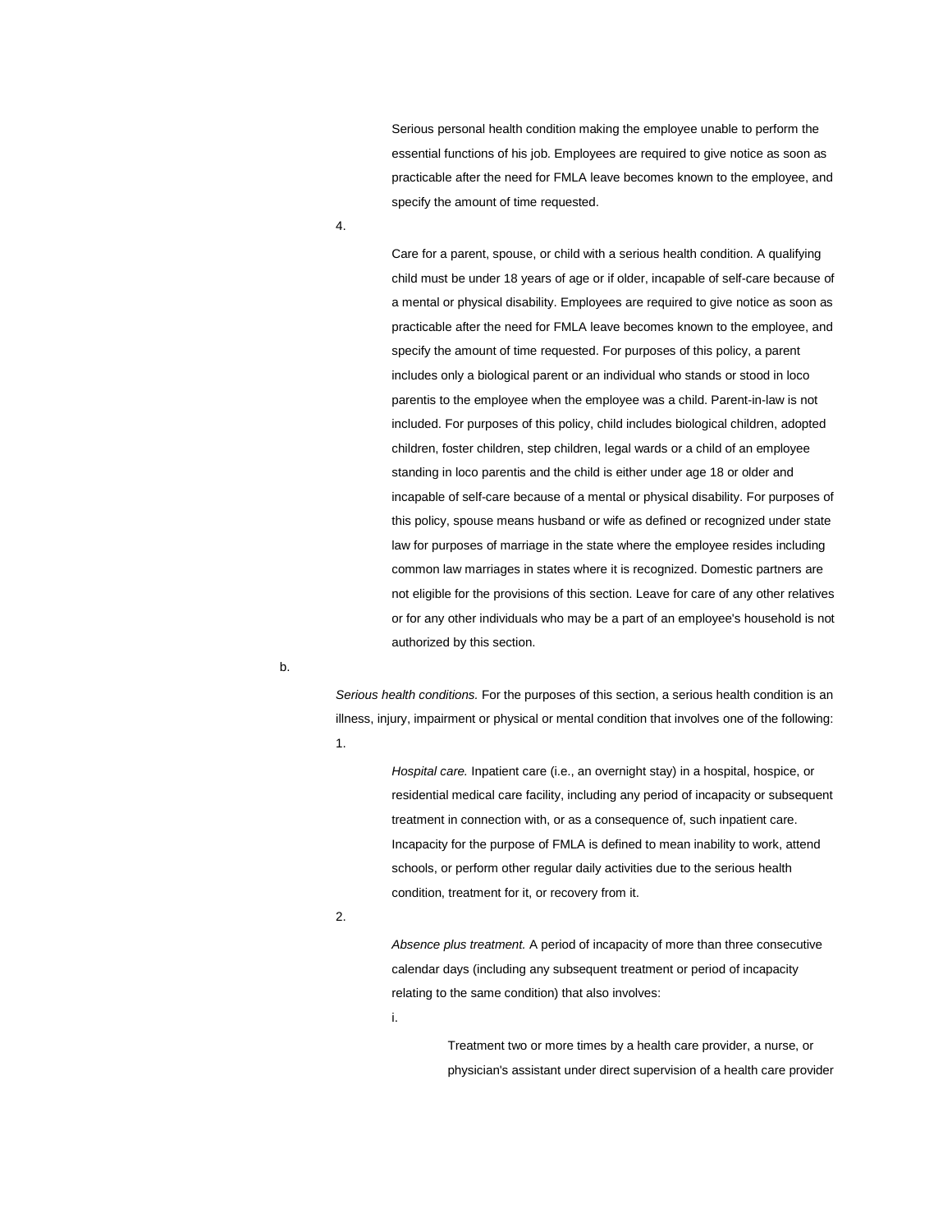Serious personal health condition making the employee unable to perform the essential functions of his job. Employees are required to give notice as soon as practicable after the need for FMLA leave becomes known to the employee, and specify the amount of time requested.

4.

Care for a parent, spouse, or child with a serious health condition. A qualifying child must be under 18 years of age or if older, incapable of self-care because of a mental or physical disability. Employees are required to give notice as soon as practicable after the need for FMLA leave becomes known to the employee, and specify the amount of time requested. For purposes of this policy, a parent includes only a biological parent or an individual who stands or stood in loco parentis to the employee when the employee was a child. Parent-in-law is not included. For purposes of this policy, child includes biological children, adopted children, foster children, step children, legal wards or a child of an employee standing in loco parentis and the child is either under age 18 or older and incapable of self-care because of a mental or physical disability. For purposes of this policy, spouse means husband or wife as defined or recognized under state law for purposes of marriage in the state where the employee resides including common law marriages in states where it is recognized. Domestic partners are not eligible for the provisions of this section. Leave for care of any other relatives or for any other individuals who may be a part of an employee's household is not authorized by this section.

b.

*Serious health conditions.* For the purposes of this section, a serious health condition is an illness, injury, impairment or physical or mental condition that involves one of the following: 1.

> *Hospital care.* Inpatient care (i.e., an overnight stay) in a hospital, hospice, or residential medical care facility, including any period of incapacity or subsequent treatment in connection with, or as a consequence of, such inpatient care. Incapacity for the purpose of FMLA is defined to mean inability to work, attend schools, or perform other regular daily activities due to the serious health condition, treatment for it, or recovery from it.

2.

*Absence plus treatment.* A period of incapacity of more than three consecutive calendar days (including any subsequent treatment or period of incapacity relating to the same condition) that also involves:

i.

Treatment two or more times by a health care provider, a nurse, or physician's assistant under direct supervision of a health care provider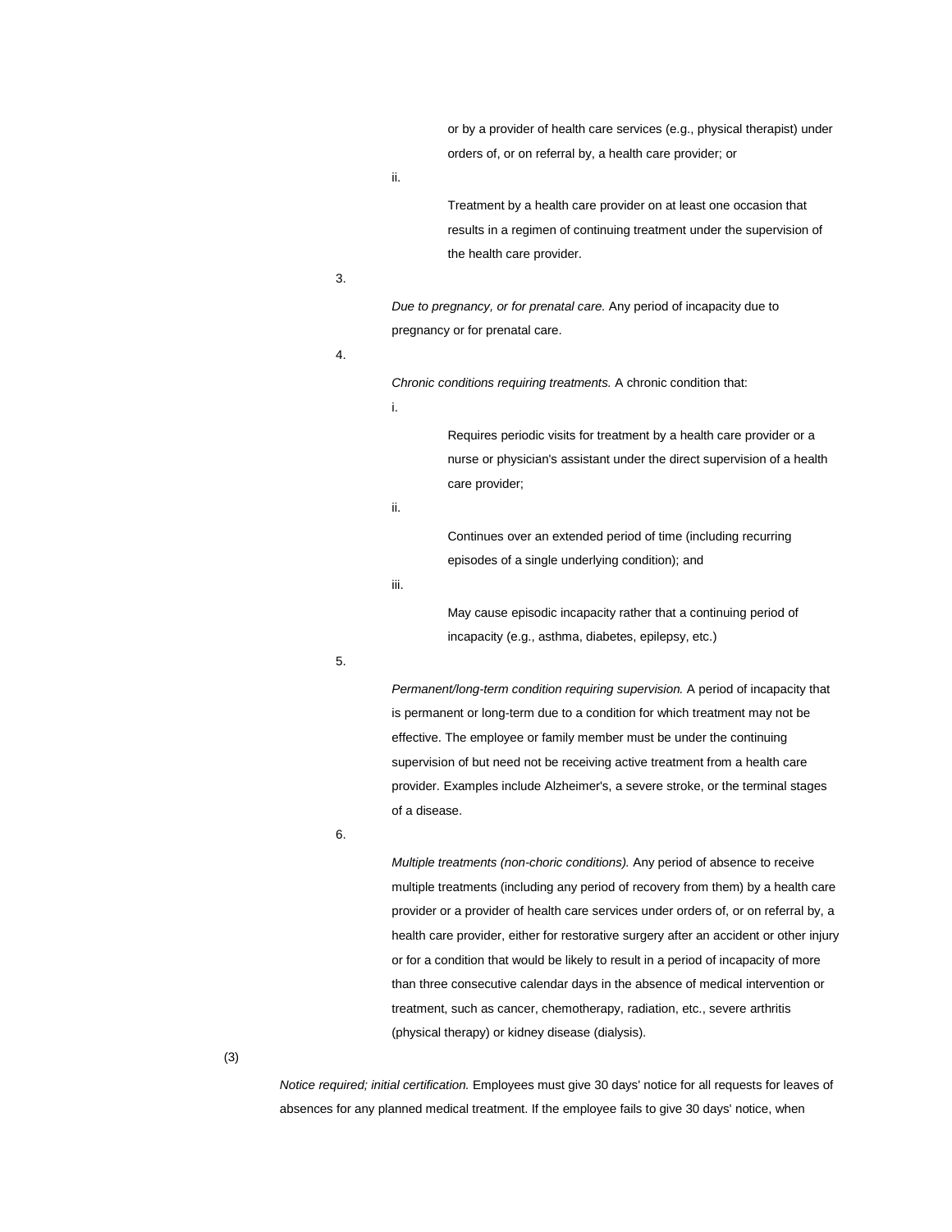or by a provider of health care services (e.g., physical therapist) under orders of, or on referral by, a health care provider; or

ii.

Treatment by a health care provider on at least one occasion that results in a regimen of continuing treatment under the supervision of the health care provider.

3.

*Due to pregnancy, or for prenatal care.* Any period of incapacity due to pregnancy or for prenatal care.

4.

*Chronic conditions requiring treatments.* A chronic condition that:

i.

Requires periodic visits for treatment by a health care provider or a nurse or physician's assistant under the direct supervision of a health care provider;

ii.

Continues over an extended period of time (including recurring episodes of a single underlying condition); and

iii.

May cause episodic incapacity rather that a continuing period of incapacity (e.g., asthma, diabetes, epilepsy, etc.)

5.

*Permanent/long-term condition requiring supervision.* A period of incapacity that is permanent or long-term due to a condition for which treatment may not be effective. The employee or family member must be under the continuing supervision of but need not be receiving active treatment from a health care provider. Examples include Alzheimer's, a severe stroke, or the terminal stages of a disease.

6.

*Multiple treatments (non-choric conditions).* Any period of absence to receive multiple treatments (including any period of recovery from them) by a health care provider or a provider of health care services under orders of, or on referral by, a health care provider, either for restorative surgery after an accident or other injury or for a condition that would be likely to result in a period of incapacity of more than three consecutive calendar days in the absence of medical intervention or treatment, such as cancer, chemotherapy, radiation, etc., severe arthritis (physical therapy) or kidney disease (dialysis).

(3)

*Notice required; initial certification.* Employees must give 30 days' notice for all requests for leaves of absences for any planned medical treatment. If the employee fails to give 30 days' notice, when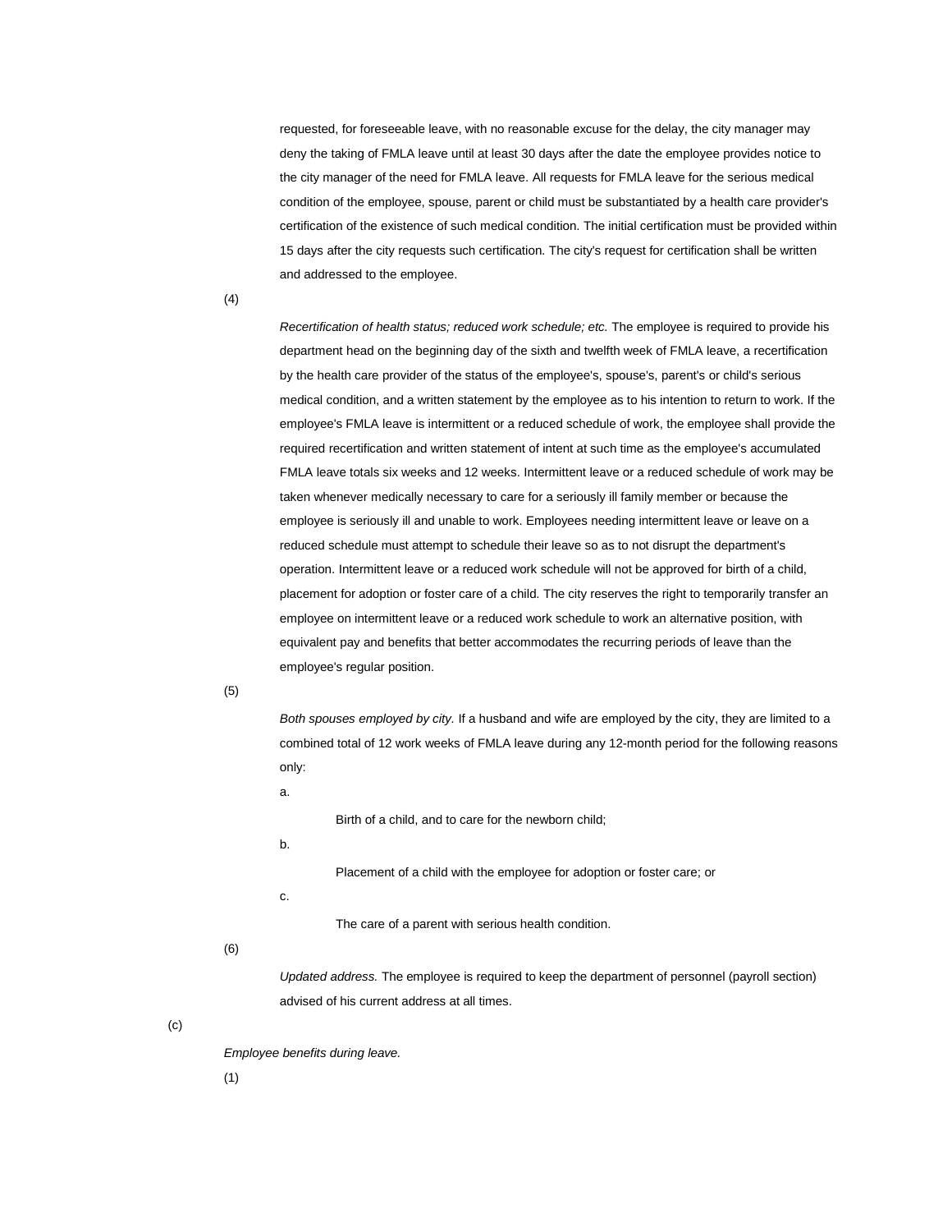requested, for foreseeable leave, with no reasonable excuse for the delay, the city manager may deny the taking of FMLA leave until at least 30 days after the date the employee provides notice to the city manager of the need for FMLA leave. All requests for FMLA leave for the serious medical condition of the employee, spouse, parent or child must be substantiated by a health care provider's certification of the existence of such medical condition. The initial certification must be provided within 15 days after the city requests such certification. The city's request for certification shall be written and addressed to the employee.

(4)

*Recertification of health status; reduced work schedule; etc.* The employee is required to provide his department head on the beginning day of the sixth and twelfth week of FMLA leave, a recertification by the health care provider of the status of the employee's, spouse's, parent's or child's serious medical condition, and a written statement by the employee as to his intention to return to work. If the employee's FMLA leave is intermittent or a reduced schedule of work, the employee shall provide the required recertification and written statement of intent at such time as the employee's accumulated FMLA leave totals six weeks and 12 weeks. Intermittent leave or a reduced schedule of work may be taken whenever medically necessary to care for a seriously ill family member or because the employee is seriously ill and unable to work. Employees needing intermittent leave or leave on a reduced schedule must attempt to schedule their leave so as to not disrupt the department's operation. Intermittent leave or a reduced work schedule will not be approved for birth of a child, placement for adoption or foster care of a child. The city reserves the right to temporarily transfer an employee on intermittent leave or a reduced work schedule to work an alternative position, with equivalent pay and benefits that better accommodates the recurring periods of leave than the employee's regular position.

(5)

*Both spouses employed by city.* If a husband and wife are employed by the city, they are limited to a combined total of 12 work weeks of FMLA leave during any 12-month period for the following reasons only:

a.

Birth of a child, and to care for the newborn child;

b.

Placement of a child with the employee for adoption or foster care; or

c.

The care of a parent with serious health condition.

(6)

*Updated address.* The employee is required to keep the department of personnel (payroll section) advised of his current address at all times.

(c)

*Employee benefits during leave.*

(1)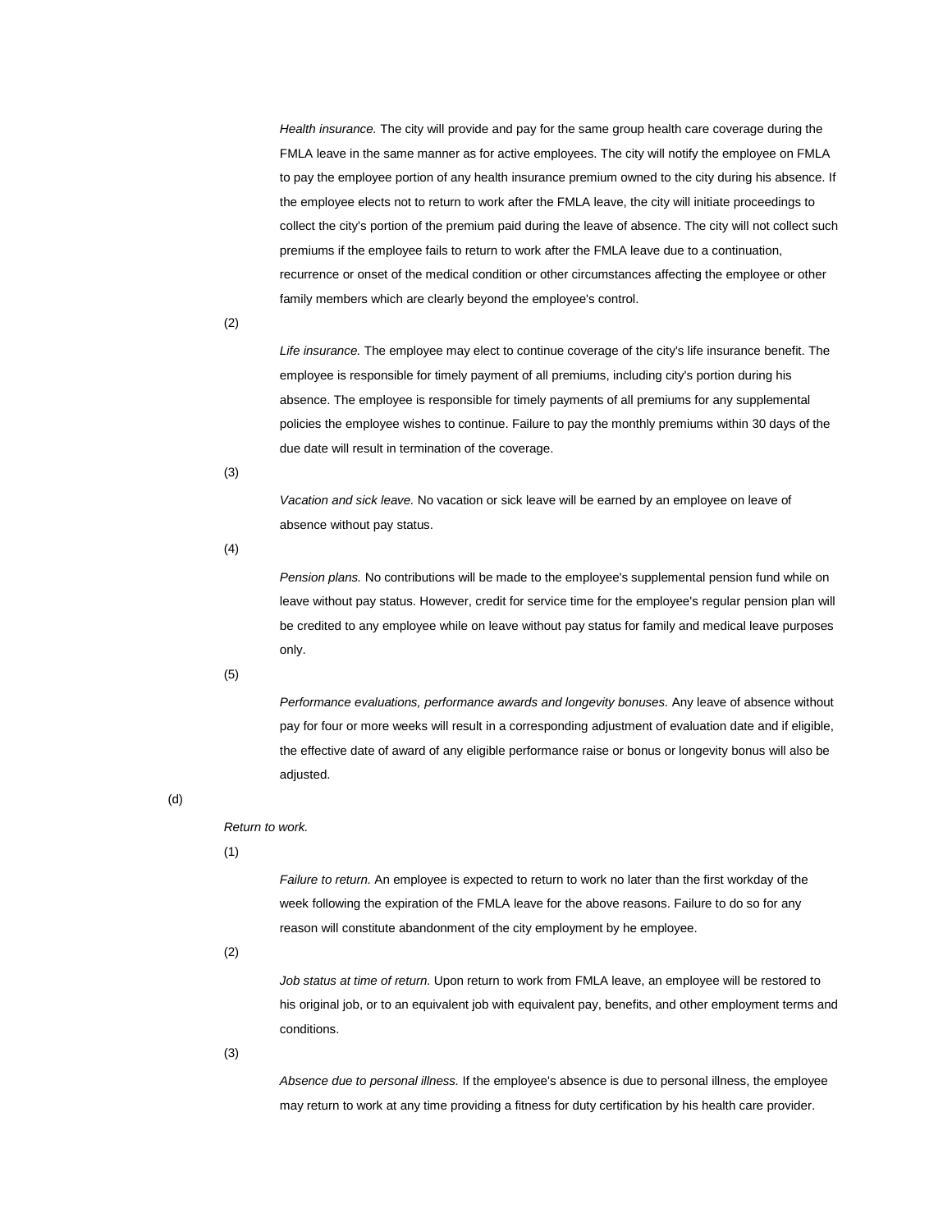*Health insurance.* The city will provide and pay for the same group health care coverage during the FMLA leave in the same manner as for active employees. The city will notify the employee on FMLA to pay the employee portion of any health insurance premium owned to the city during his absence. If the employee elects not to return to work after the FMLA leave, the city will initiate proceedings to collect the city's portion of the premium paid during the leave of absence. The city will not collect such premiums if the employee fails to return to work after the FMLA leave due to a continuation, recurrence or onset of the medical condition or other circumstances affecting the employee or other family members which are clearly beyond the employee's control.

(2)

*Life insurance.* The employee may elect to continue coverage of the city's life insurance benefit. The employee is responsible for timely payment of all premiums, including city's portion during his absence. The employee is responsible for timely payments of all premiums for any supplemental policies the employee wishes to continue. Failure to pay the monthly premiums within 30 days of the due date will result in termination of the coverage.

(3)

*Vacation and sick leave.* No vacation or sick leave will be earned by an employee on leave of absence without pay status.

(4)

*Pension plans.* No contributions will be made to the employee's supplemental pension fund while on leave without pay status. However, credit for service time for the employee's regular pension plan will be credited to any employee while on leave without pay status for family and medical leave purposes only.

(5)

*Performance evaluations, performance awards and longevity bonuses.* Any leave of absence without pay for four or more weeks will result in a corresponding adjustment of evaluation date and if eligible, the effective date of award of any eligible performance raise or bonus or longevity bonus will also be adjusted.

(d)

*Return to work.*

(1)

*Failure to return.* An employee is expected to return to work no later than the first workday of the week following the expiration of the FMLA leave for the above reasons. Failure to do so for any reason will constitute abandonment of the city employment by he employee.

(2)

*Job status at time of return.* Upon return to work from FMLA leave, an employee will be restored to his original job, or to an equivalent job with equivalent pay, benefits, and other employment terms and conditions.

(3)

*Absence due to personal illness.* If the employee's absence is due to personal illness, the employee may return to work at any time providing a fitness for duty certification by his health care provider.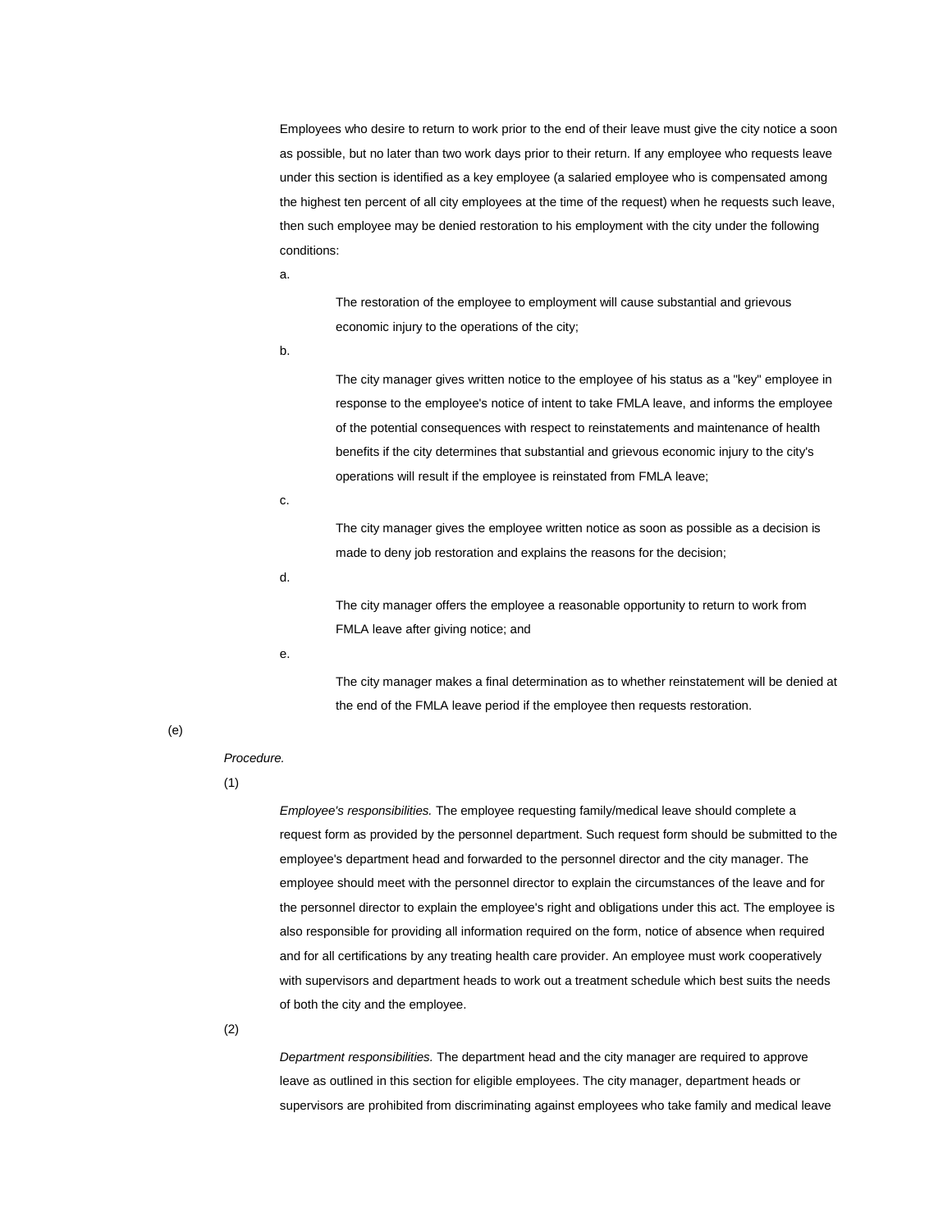Employees who desire to return to work prior to the end of their leave must give the city notice a soon as possible, but no later than two work days prior to their return. If any employee who requests leave under this section is identified as a key employee (a salaried employee who is compensated among the highest ten percent of all city employees at the time of the request) when he requests such leave, then such employee may be denied restoration to his employment with the city under the following conditions:

a.

The restoration of the employee to employment will cause substantial and grievous economic injury to the operations of the city;

b.

The city manager gives written notice to the employee of his status as a "key" employee in response to the employee's notice of intent to take FMLA leave, and informs the employee of the potential consequences with respect to reinstatements and maintenance of health benefits if the city determines that substantial and grievous economic injury to the city's operations will result if the employee is reinstated from FMLA leave;

c.

The city manager gives the employee written notice as soon as possible as a decision is made to deny job restoration and explains the reasons for the decision;

d.

The city manager offers the employee a reasonable opportunity to return to work from FMLA leave after giving notice; and

e.

The city manager makes a final determination as to whether reinstatement will be denied at the end of the FMLA leave period if the employee then requests restoration.

(e)

#### *Procedure.*

(1)

*Employee's responsibilities.* The employee requesting family/medical leave should complete a request form as provided by the personnel department. Such request form should be submitted to the employee's department head and forwarded to the personnel director and the city manager. The employee should meet with the personnel director to explain the circumstances of the leave and for the personnel director to explain the employee's right and obligations under this act. The employee is also responsible for providing all information required on the form, notice of absence when required and for all certifications by any treating health care provider. An employee must work cooperatively with supervisors and department heads to work out a treatment schedule which best suits the needs of both the city and the employee.

(2)

*Department responsibilities.* The department head and the city manager are required to approve leave as outlined in this section for eligible employees. The city manager, department heads or supervisors are prohibited from discriminating against employees who take family and medical leave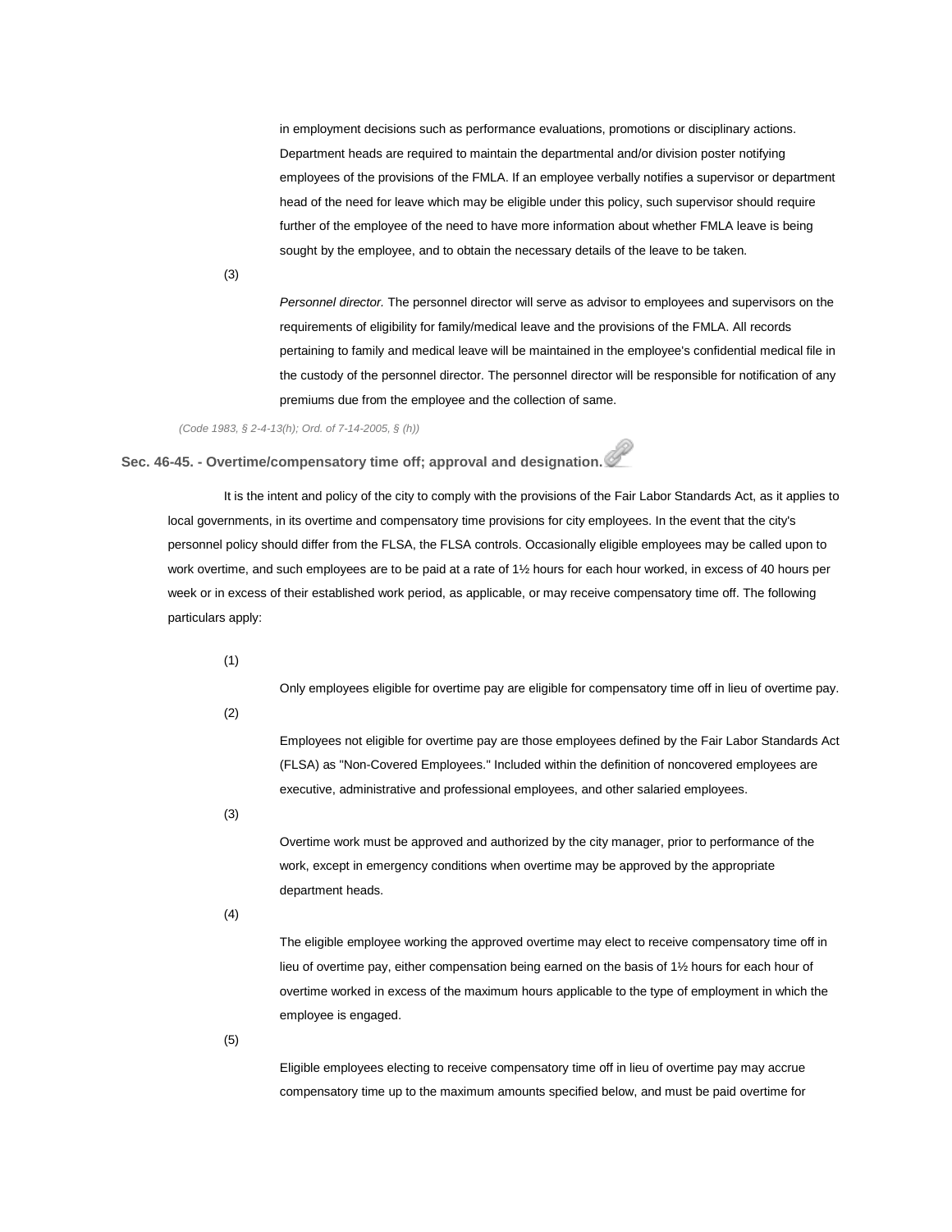in employment decisions such as performance evaluations, promotions or disciplinary actions. Department heads are required to maintain the departmental and/or division poster notifying employees of the provisions of the FMLA. If an employee verbally notifies a supervisor or department head of the need for leave which may be eligible under this policy, such supervisor should require further of the employee of the need to have more information about whether FMLA leave is being sought by the employee, and to obtain the necessary details of the leave to be taken.

(3)

*Personnel director.* The personnel director will serve as advisor to employees and supervisors on the requirements of eligibility for family/medical leave and the provisions of the FMLA. All records pertaining to family and medical leave will be maintained in the employee's confidential medical file in the custody of the personnel director. The personnel director will be responsible for notification of any premiums due from the employee and the collection of same.

*(Code 1983, § 2-4-13(h); Ord. of 7-14-2005, § (h))*

**Sec. 46-45. - Overtime/compensatory time off; approval and designation.**

It is the intent and policy of the city to comply with the provisions of the Fair Labor Standards Act, as it applies to local governments, in its overtime and compensatory time provisions for city employees. In the event that the city's personnel policy should differ from the FLSA, the FLSA controls. Occasionally eligible employees may be called upon to work overtime, and such employees are to be paid at a rate of 1½ hours for each hour worked, in excess of 40 hours per week or in excess of their established work period, as applicable, or may receive compensatory time off. The following particulars apply:

(1)

Only employees eligible for overtime pay are eligible for compensatory time off in lieu of overtime pay.

(2)

Employees not eligible for overtime pay are those employees defined by the Fair Labor Standards Act (FLSA) as "Non-Covered Employees." Included within the definition of noncovered employees are executive, administrative and professional employees, and other salaried employees.

(3)

Overtime work must be approved and authorized by the city manager, prior to performance of the work, except in emergency conditions when overtime may be approved by the appropriate department heads.

(4)

The eligible employee working the approved overtime may elect to receive compensatory time off in lieu of overtime pay, either compensation being earned on the basis of 1½ hours for each hour of overtime worked in excess of the maximum hours applicable to the type of employment in which the employee is engaged.

(5)

Eligible employees electing to receive compensatory time off in lieu of overtime pay may accrue compensatory time up to the maximum amounts specified below, and must be paid overtime for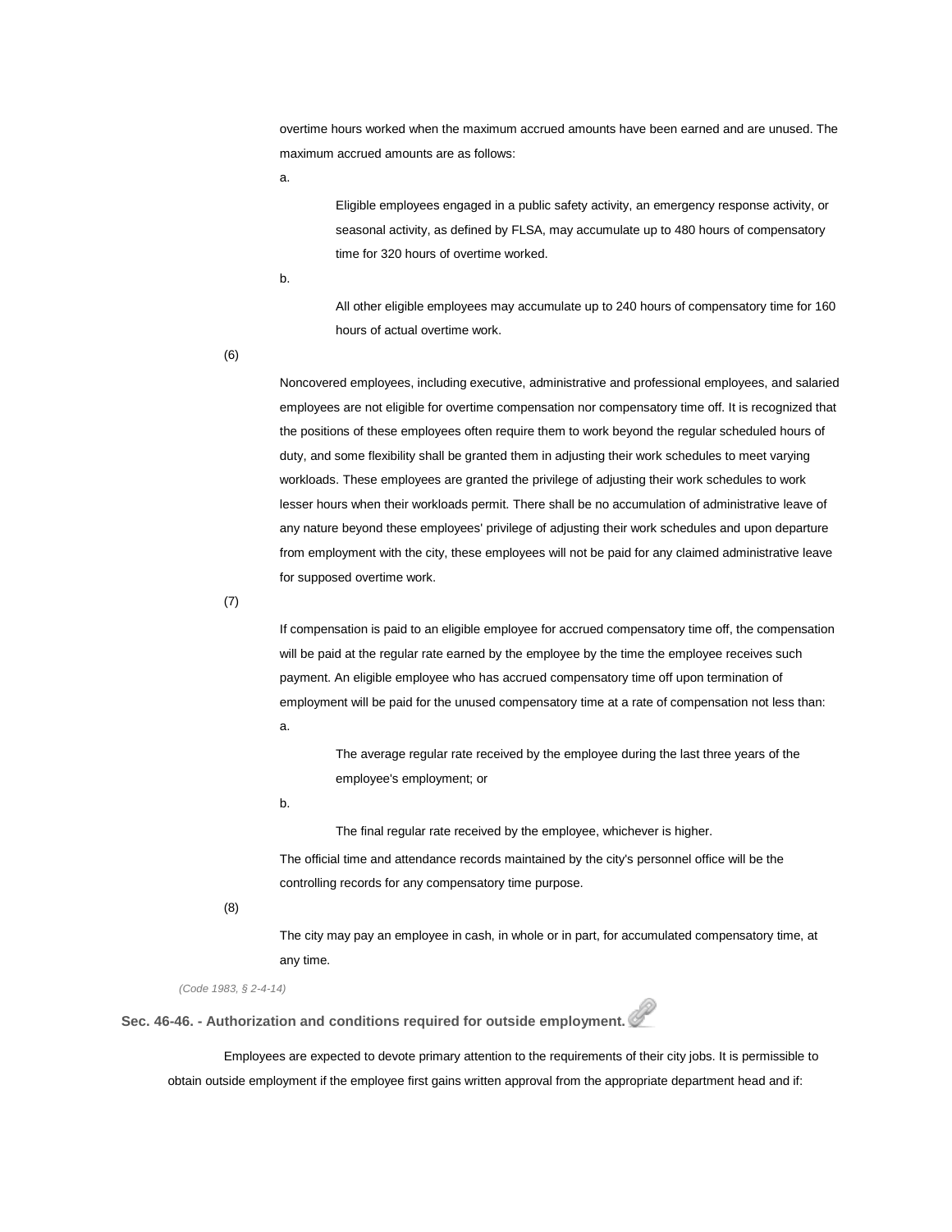overtime hours worked when the maximum accrued amounts have been earned and are unused. The maximum accrued amounts are as follows:

a.

Eligible employees engaged in a public safety activity, an emergency response activity, or seasonal activity, as defined by FLSA, may accumulate up to 480 hours of compensatory time for 320 hours of overtime worked.

b.

All other eligible employees may accumulate up to 240 hours of compensatory time for 160 hours of actual overtime work.

(6)

Noncovered employees, including executive, administrative and professional employees, and salaried employees are not eligible for overtime compensation nor compensatory time off. It is recognized that the positions of these employees often require them to work beyond the regular scheduled hours of duty, and some flexibility shall be granted them in adjusting their work schedules to meet varying workloads. These employees are granted the privilege of adjusting their work schedules to work lesser hours when their workloads permit. There shall be no accumulation of administrative leave of any nature beyond these employees' privilege of adjusting their work schedules and upon departure from employment with the city, these employees will not be paid for any claimed administrative leave for supposed overtime work.

(7)

If compensation is paid to an eligible employee for accrued compensatory time off, the compensation will be paid at the regular rate earned by the employee by the time the employee receives such payment. An eligible employee who has accrued compensatory time off upon termination of employment will be paid for the unused compensatory time at a rate of compensation not less than: a.

The average regular rate received by the employee during the last three years of the employee's employment; or

b.

The final regular rate received by the employee, whichever is higher.

The official time and attendance records maintained by the city's personnel office will be the controlling records for any compensatory time purpose.

(8)

The city may pay an employee in cash, in whole or in part, for accumulated compensatory time, at any time.

*(Code 1983, § 2-4-14)*

**Sec. 46-46. - Authorization and conditions required for outside employment.**

Employees are expected to devote primary attention to the requirements of their city jobs. It is permissible to obtain outside employment if the employee first gains written approval from the appropriate department head and if: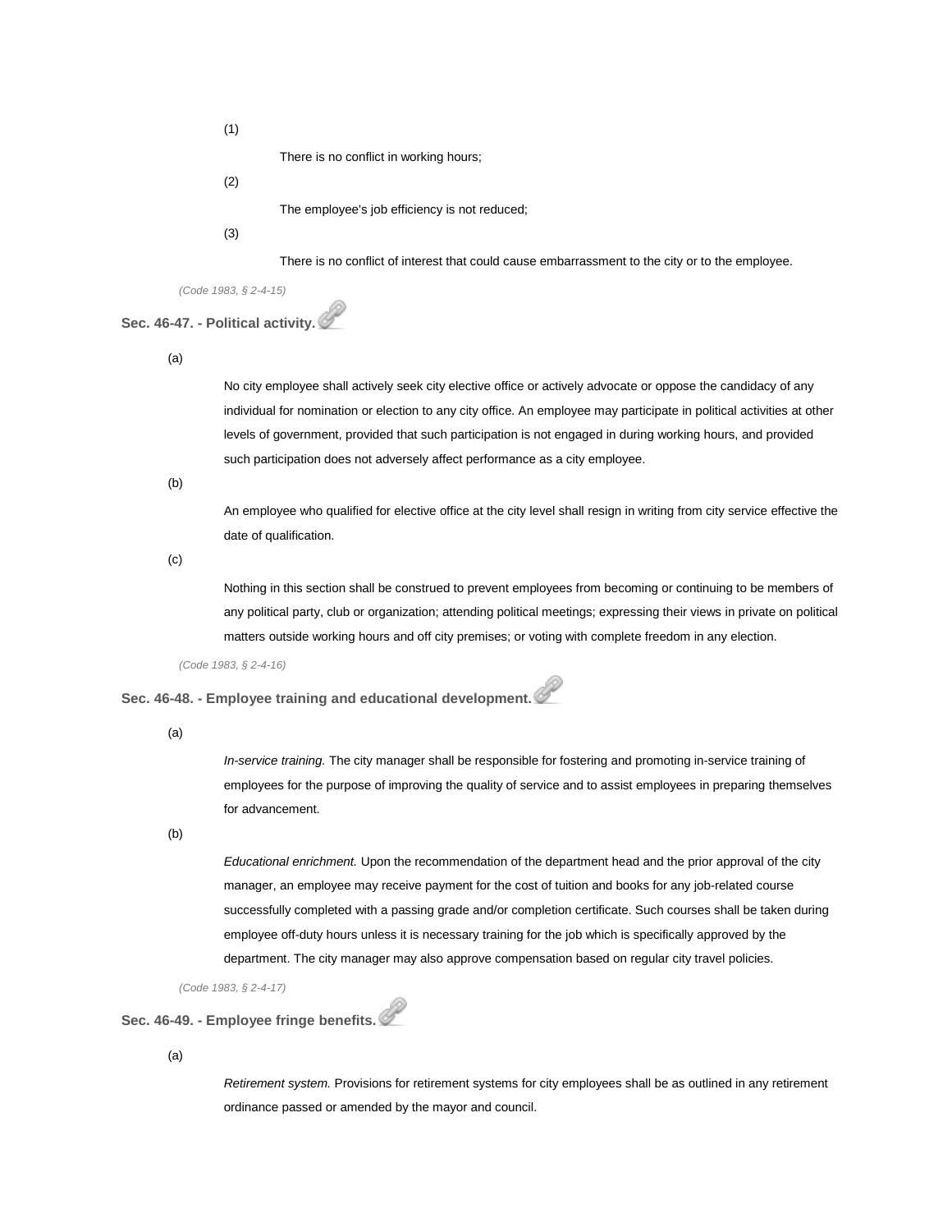(1)

There is no conflict in working hours;

(2)

The employee's job efficiency is not reduced;

#### (3)

There is no conflict of interest that could cause embarrassment to the city or to the employee.

*(Code 1983, § 2-4-15)*

# **Sec. 46-47. - Political activity.**

(a)

No city employee shall actively seek city elective office or actively advocate or oppose the candidacy of any individual for nomination or election to any city office. An employee may participate in political activities at other levels of government, provided that such participation is not engaged in during working hours, and provided such participation does not adversely affect performance as a city employee.

(b)

An employee who qualified for elective office at the city level shall resign in writing from city service effective the date of qualification.

(c)

Nothing in this section shall be construed to prevent employees from becoming or continuing to be members of any political party, club or organization; attending political meetings; expressing their views in private on political matters outside working hours and off city premises; or voting with complete freedom in any election.

*(Code 1983, § 2-4-16)*

**Sec. 46-48. - Employee training and educational development.**

(a)

*In-service training.* The city manager shall be responsible for fostering and promoting in-service training of employees for the purpose of improving the quality of service and to assist employees in preparing themselves for advancement.

(b)

*Educational enrichment.* Upon the recommendation of the department head and the prior approval of the city manager, an employee may receive payment for the cost of tuition and books for any job-related course successfully completed with a passing grade and/or completion certificate. Such courses shall be taken during employee off-duty hours unless it is necessary training for the job which is specifically approved by the department. The city manager may also approve compensation based on regular city travel policies.

*(Code 1983, § 2-4-17)*

# **Sec. 46-49. - Employee fringe benefits.**

(a)

*Retirement system.* Provisions for retirement systems for city employees shall be as outlined in any retirement ordinance passed or amended by the mayor and council.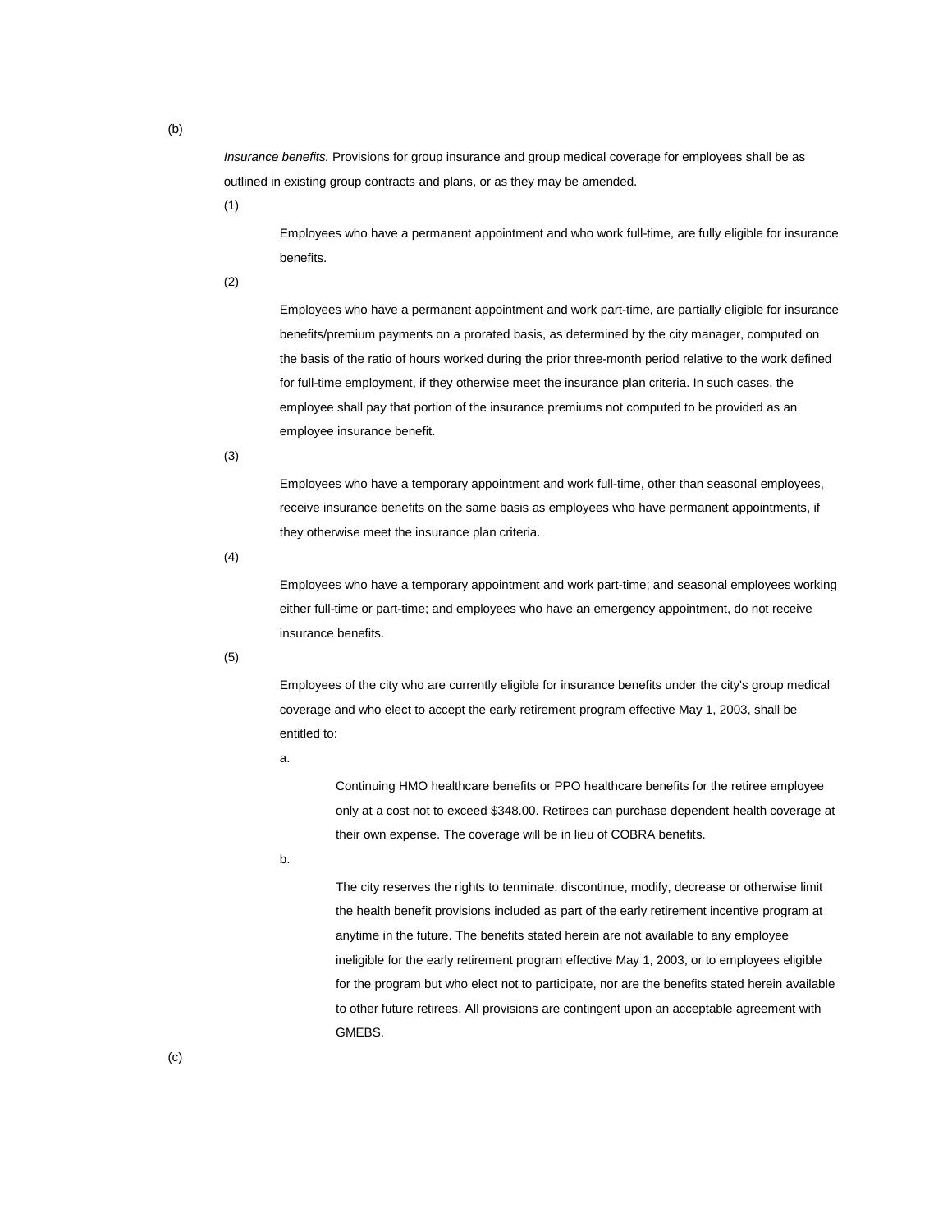*Insurance benefits.* Provisions for group insurance and group medical coverage for employees shall be as outlined in existing group contracts and plans, or as they may be amended.

(1)

Employees who have a permanent appointment and who work full-time, are fully eligible for insurance benefits.

(2)

Employees who have a permanent appointment and work part-time, are partially eligible for insurance benefits/premium payments on a prorated basis, as determined by the city manager, computed on the basis of the ratio of hours worked during the prior three-month period relative to the work defined for full-time employment, if they otherwise meet the insurance plan criteria. In such cases, the employee shall pay that portion of the insurance premiums not computed to be provided as an employee insurance benefit.

(3)

Employees who have a temporary appointment and work full-time, other than seasonal employees, receive insurance benefits on the same basis as employees who have permanent appointments, if they otherwise meet the insurance plan criteria.

(4)

Employees who have a temporary appointment and work part-time; and seasonal employees working either full-time or part-time; and employees who have an emergency appointment, do not receive insurance benefits.

(5)

Employees of the city who are currently eligible for insurance benefits under the city's group medical coverage and who elect to accept the early retirement program effective May 1, 2003, shall be entitled to:

a.

Continuing HMO healthcare benefits or PPO healthcare benefits for the retiree employee only at a cost not to exceed \$348.00. Retirees can purchase dependent health coverage at their own expense. The coverage will be in lieu of COBRA benefits.

b.

The city reserves the rights to terminate, discontinue, modify, decrease or otherwise limit the health benefit provisions included as part of the early retirement incentive program at anytime in the future. The benefits stated herein are not available to any employee ineligible for the early retirement program effective May 1, 2003, or to employees eligible for the program but who elect not to participate, nor are the benefits stated herein available to other future retirees. All provisions are contingent upon an acceptable agreement with GMEBS.

(b)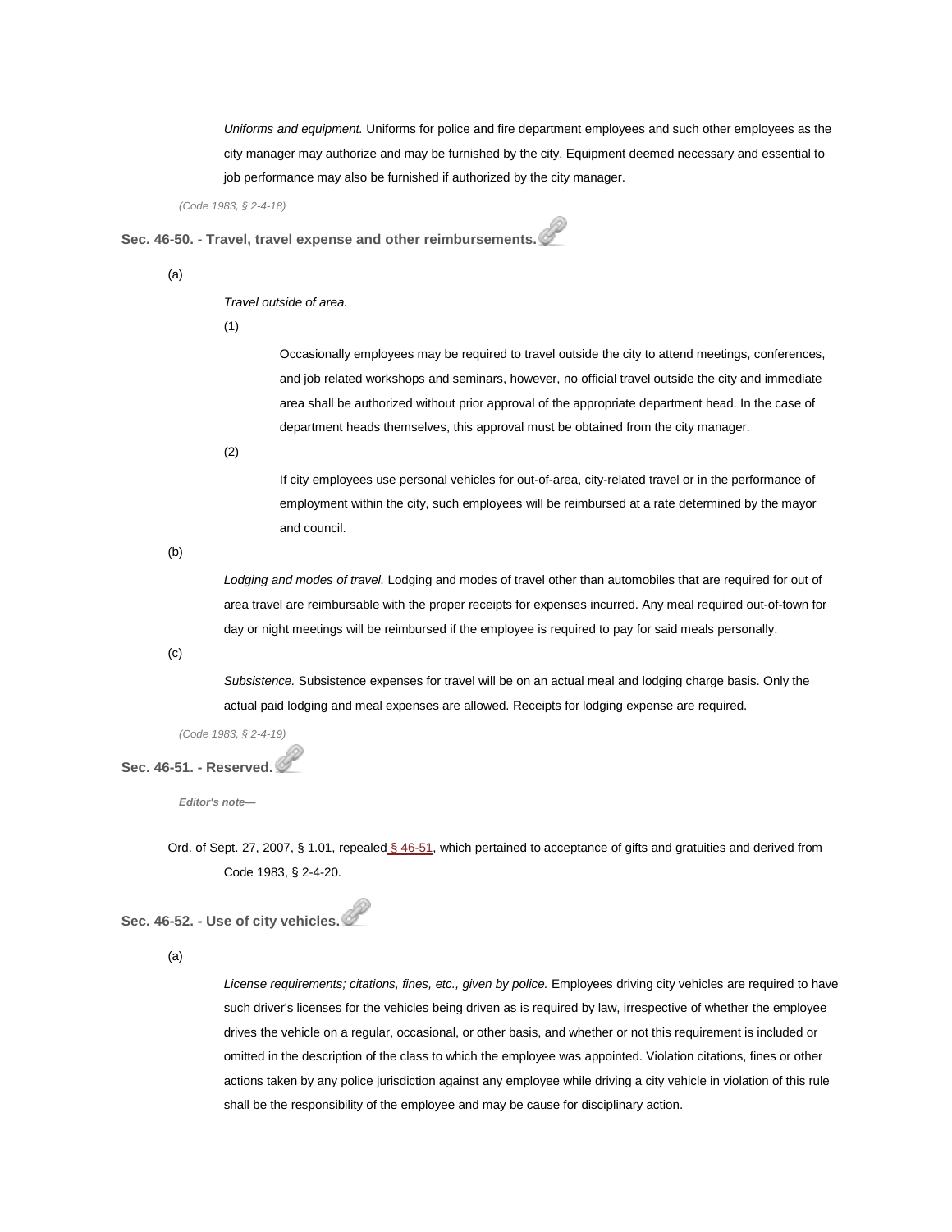*Uniforms and equipment.* Uniforms for police and fire department employees and such other employees as the city manager may authorize and may be furnished by the city. Equipment deemed necessary and essential to job performance may also be furnished if authorized by the city manager.

*(Code 1983, § 2-4-18)*

**Sec. 46-50. - Travel, travel expense and other reimbursements.**

(a)

#### *Travel outside of area.*

(1)

Occasionally employees may be required to travel outside the city to attend meetings, conferences, and job related workshops and seminars, however, no official travel outside the city and immediate area shall be authorized without prior approval of the appropriate department head. In the case of department heads themselves, this approval must be obtained from the city manager.

(2)

If city employees use personal vehicles for out-of-area, city-related travel or in the performance of employment within the city, such employees will be reimbursed at a rate determined by the mayor and council.

(b)

*Lodging and modes of travel.* Lodging and modes of travel other than automobiles that are required for out of area travel are reimbursable with the proper receipts for expenses incurred. Any meal required out-of-town for day or night meetings will be reimbursed if the employee is required to pay for said meals personally.

(c)

*Subsistence.* Subsistence expenses for travel will be on an actual meal and lodging charge basis. Only the actual paid lodging and meal expenses are allowed. Receipts for lodging expense are required.

*(Code 1983, § 2-4-19)*

#### **Sec. 46-51. - Reserved.**

*Editor's note—*

Ord. of Sept. 27, 2007, § 1.01, repealed [§ 46-51,](http://library.municode.com/HTML/14104/level3/PTIICOOR_CH46PE_ARTIIPERU.html#PTIICOOR_CH46PE_ARTIIPERU_S46-51RE) which pertained to acceptance of gifts and gratuities and derived from Code 1983, § 2-4-20.

**Sec. 46-52. - Use of city vehicles.**

(a)

*License requirements; citations, fines, etc., given by police.* Employees driving city vehicles are required to have such driver's licenses for the vehicles being driven as is required by law, irrespective of whether the employee drives the vehicle on a regular, occasional, or other basis, and whether or not this requirement is included or omitted in the description of the class to which the employee was appointed. Violation citations, fines or other actions taken by any police jurisdiction against any employee while driving a city vehicle in violation of this rule shall be the responsibility of the employee and may be cause for disciplinary action.